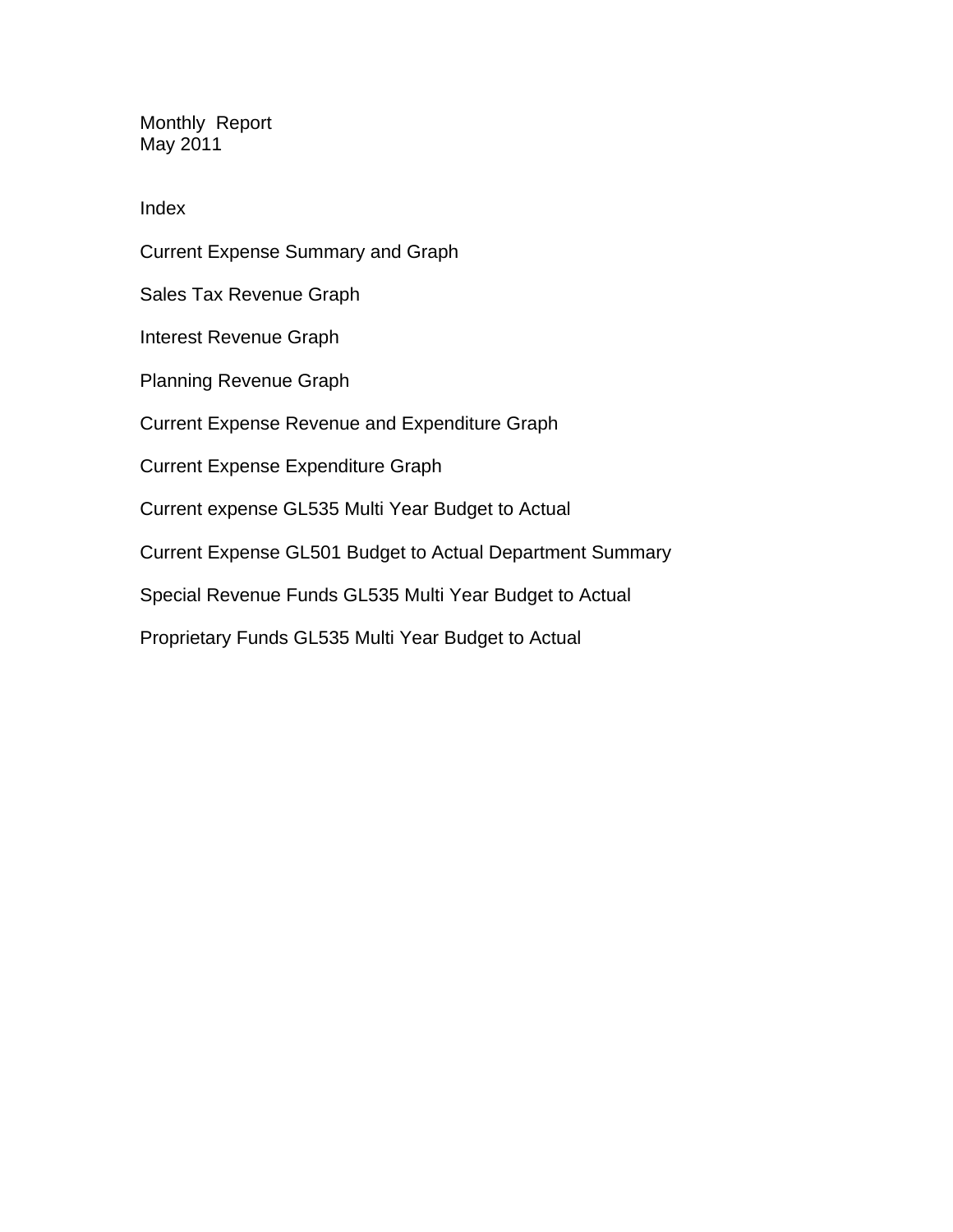Monthly Report May 2011

Index

Current Expense Summary and Graph Sales Tax Revenue Graph Interest Revenue Graph Planning Revenue Graph Current Expense Revenue and Expenditure Graph Current Expense Expenditure Graph Current expense GL535 Multi Year Budget to Actual Current Expense GL501 Budget to Actual Department Summary Special Revenue Funds GL535 Multi Year Budget to Actual Proprietary Funds GL535 Multi Year Budget to Actual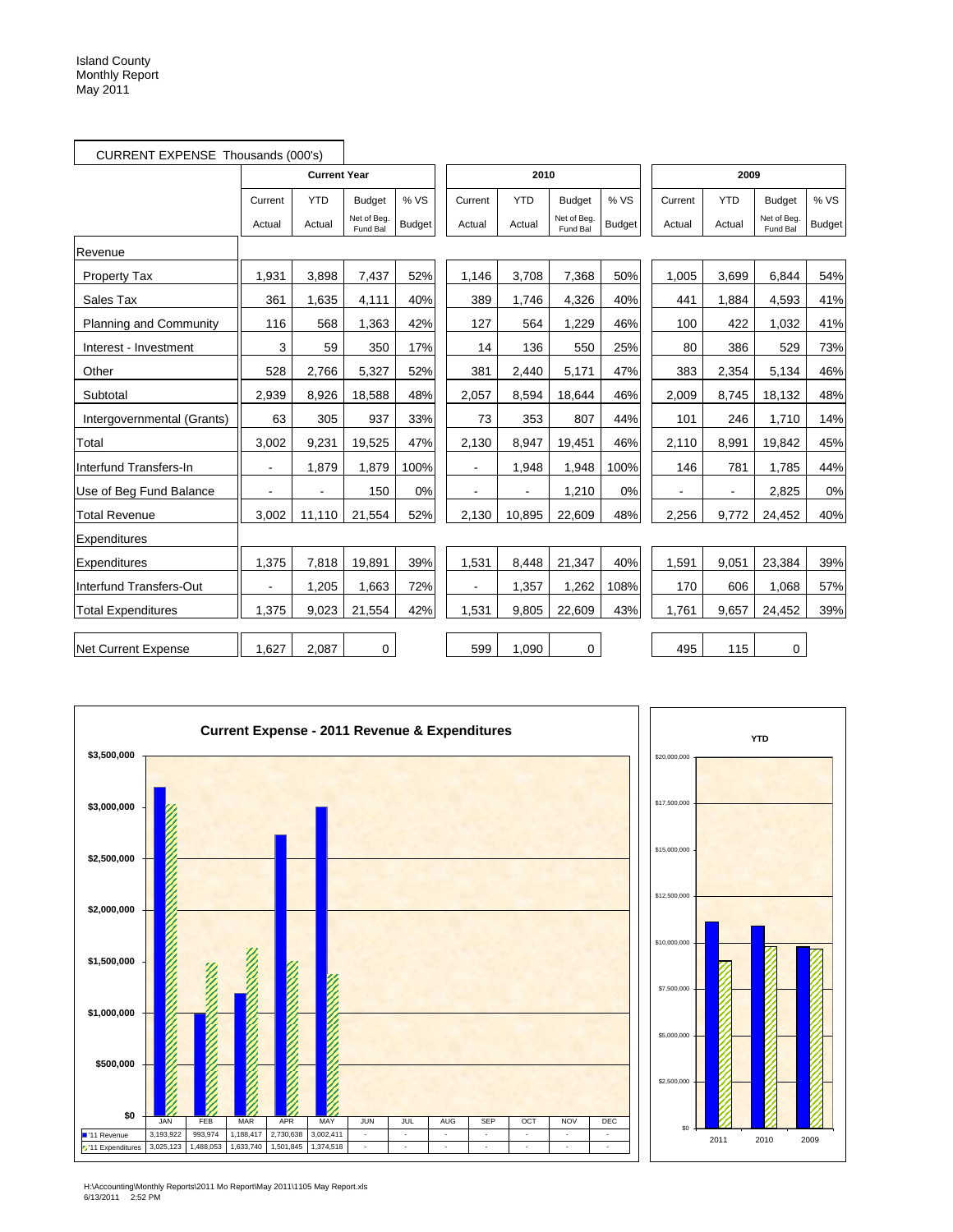|                            | CURRENT EXPENSE Thousands (000's) |                          |                         |               |                |            |                        |               |                |            |                         |               |
|----------------------------|-----------------------------------|--------------------------|-------------------------|---------------|----------------|------------|------------------------|---------------|----------------|------------|-------------------------|---------------|
|                            |                                   | <b>Current Year</b>      |                         |               |                | 2010       |                        |               |                | 2009       |                         |               |
|                            | Current                           | <b>YTD</b>               | <b>Budget</b>           | % VS          | Current        | <b>YTD</b> | <b>Budget</b>          | % VS          | Current        | <b>YTD</b> | <b>Budget</b>           | % VS          |
|                            | Actual                            | Actual                   | Net of Beg.<br>Fund Bal | <b>Budget</b> | Actual         | Actual     | Net of Beg<br>Fund Bal | <b>Budget</b> | Actual         | Actual     | Net of Beg.<br>Fund Bal | <b>Budget</b> |
| Revenue                    |                                   |                          |                         |               |                |            |                        |               |                |            |                         |               |
| <b>Property Tax</b>        | 1,931                             | 3,898                    | 7,437                   | 52%           | 1,146          | 3,708      | 7,368                  | 50%           | 1,005          | 3,699      | 6,844                   | 54%           |
| Sales Tax                  | 361                               | 1,635                    | 4,111                   | 40%           | 389            | 1,746      | 4,326                  | 40%           | 441            | 1,884      | 4,593                   | 41%           |
| Planning and Community     | 116                               | 568                      | 1,363                   | 42%           | 127            | 564        | 1,229                  | 46%           | 100            | 422        | 1,032                   | 41%           |
| Interest - Investment      | 3                                 | 59                       | 350                     | 17%           | 14             | 136        | 550                    | 25%           | 80             | 386        | 529                     | 73%           |
| Other                      | 528                               | 2.766                    | 5,327                   | 52%           | 381            | 2,440      | 5,171                  | 47%           | 383            | 2,354      | 5,134                   | 46%           |
| Subtotal                   | 2,939                             | 8,926                    | 18,588                  | 48%           | 2,057          | 8,594      | 18,644                 | 46%           | 2,009          | 8,745      | 18,132                  | 48%           |
| Intergovernmental (Grants) | 63                                | 305                      | 937                     | 33%           | 73             | 353        | 807                    | 44%           | 101            | 246        | 1,710                   | 14%           |
| Total                      | 3,002                             | 9,231                    | 19,525                  | 47%           | 2,130          | 8,947      | 19,451                 | 46%           | 2,110          | 8,991      | 19,842                  | 45%           |
| Interfund Transfers-In     | $\blacksquare$                    | 1,879                    | 1,879                   | 100%          | $\blacksquare$ | 1,948      | 1,948                  | 100%          | 146            | 781        | 1,785                   | 44%           |
| Use of Beg Fund Balance    | $\overline{a}$                    | $\overline{\phantom{a}}$ | 150                     | 0%            |                |            | 1,210                  | 0%            | $\blacksquare$ | L,         | 2,825                   | 0%            |
| <b>Total Revenue</b>       | 3,002                             | 11,110                   | 21,554                  | 52%           | 2,130          | 10,895     | 22,609                 | 48%           | 2,256          | 9,772      | 24,452                  | 40%           |
| Expenditures               |                                   |                          |                         |               |                |            |                        |               |                |            |                         |               |
| Expenditures               | 1,375                             | 7,818                    | 19,891                  | 39%           | 1,531          | 8,448      | 21,347                 | 40%           | 1,591          | 9,051      | 23,384                  | 39%           |
| Interfund Transfers-Out    |                                   | 1,205                    | 1,663                   | 72%           |                | 1,357      | 1,262                  | 108%          | 170            | 606        | 1,068                   | 57%           |
| <b>Total Expenditures</b>  | 1,375                             | 9,023                    | 21,554                  | 42%           | 1,531          | 9,805      | 22,609                 | 43%           | 1,761          | 9,657      | 24,452                  | 39%           |
| <b>Net Current Expense</b> | 1,627                             | 2,087                    | $\mathbf 0$             |               | 599            | 1,090      | 0                      |               | 495            | 115        | $\mathbf 0$             |               |

÷





H:\Accounting\Monthly Reports\2011 Mo Report\May 2011\1105 May Report.xls 6/13/2011 2:52 PM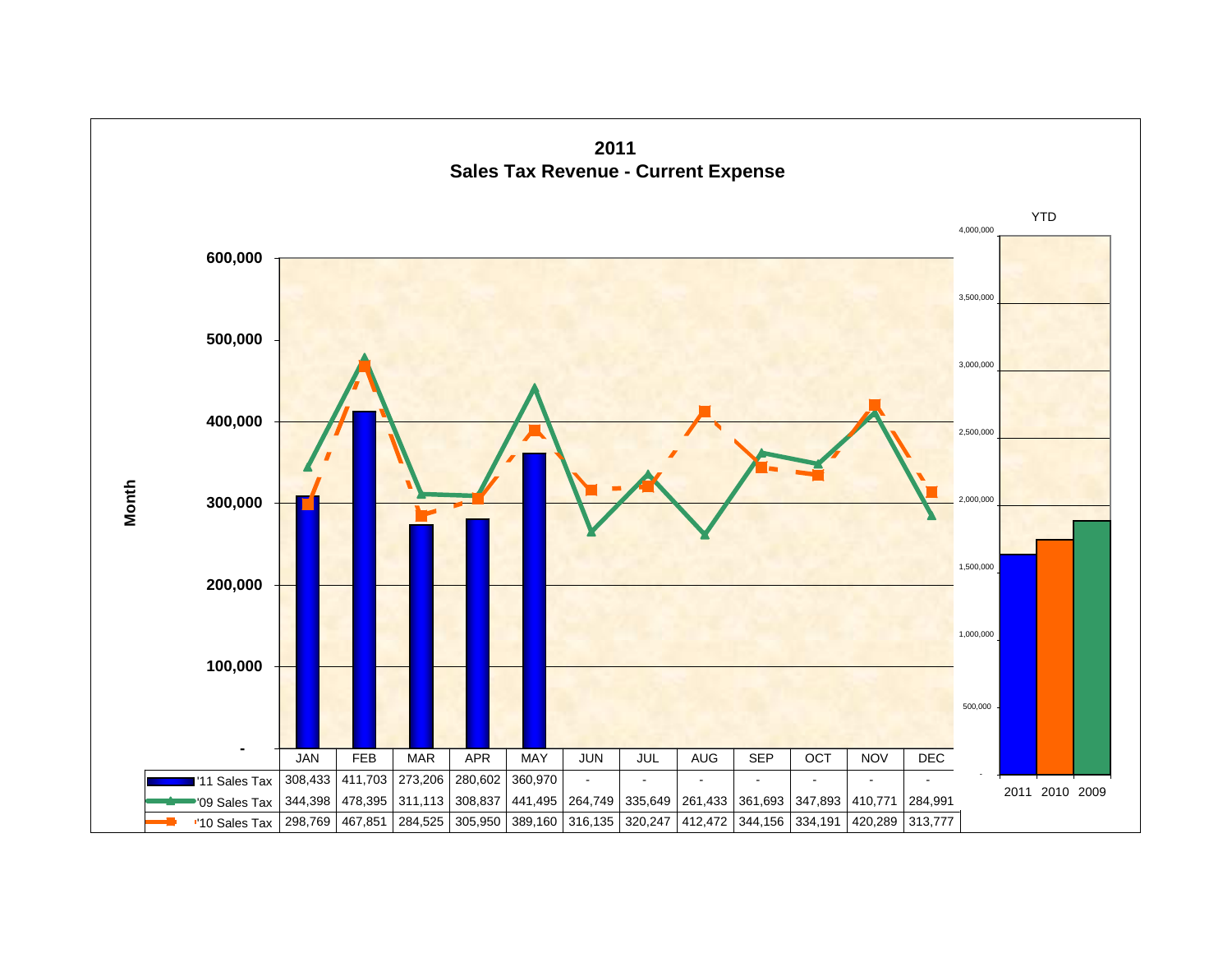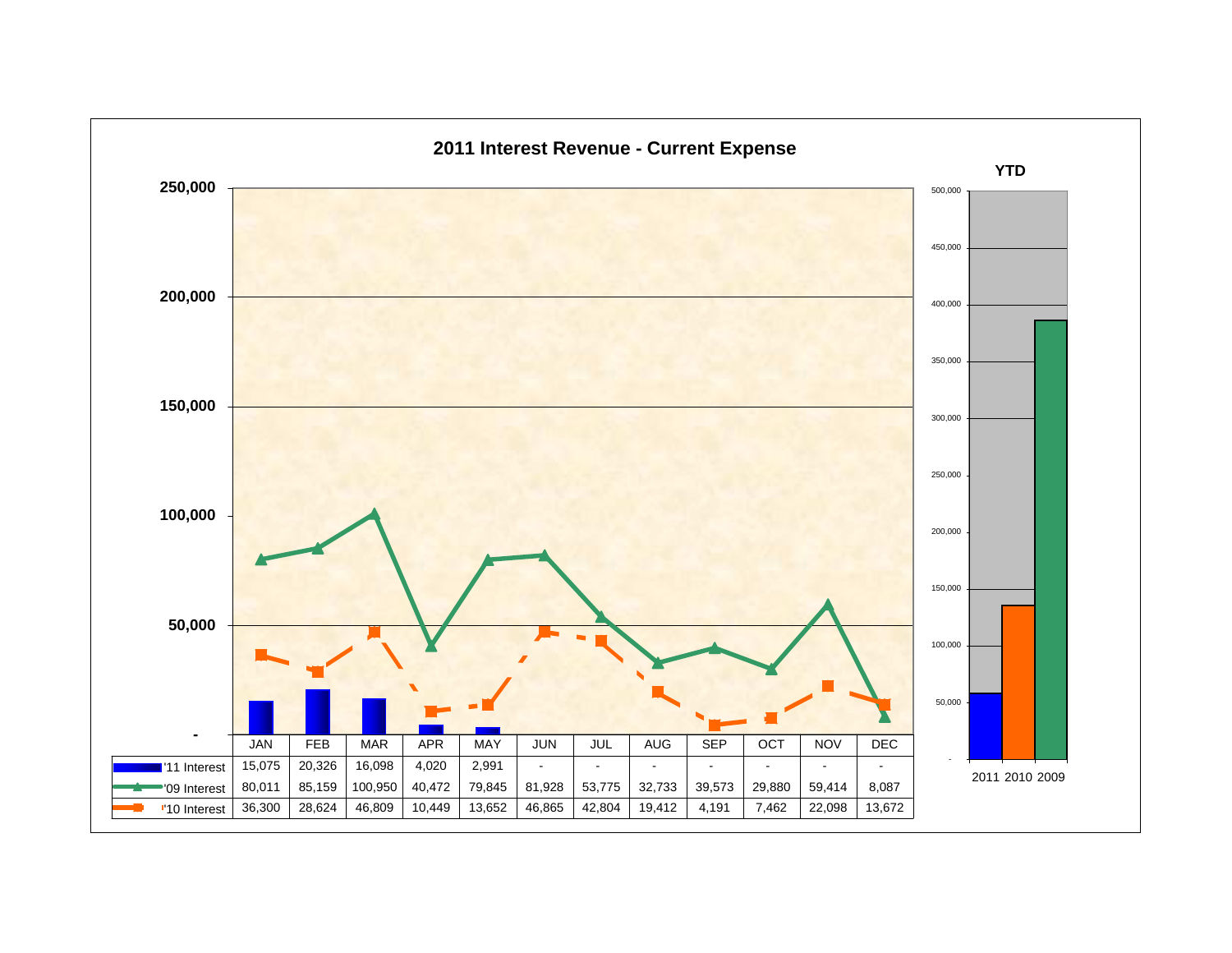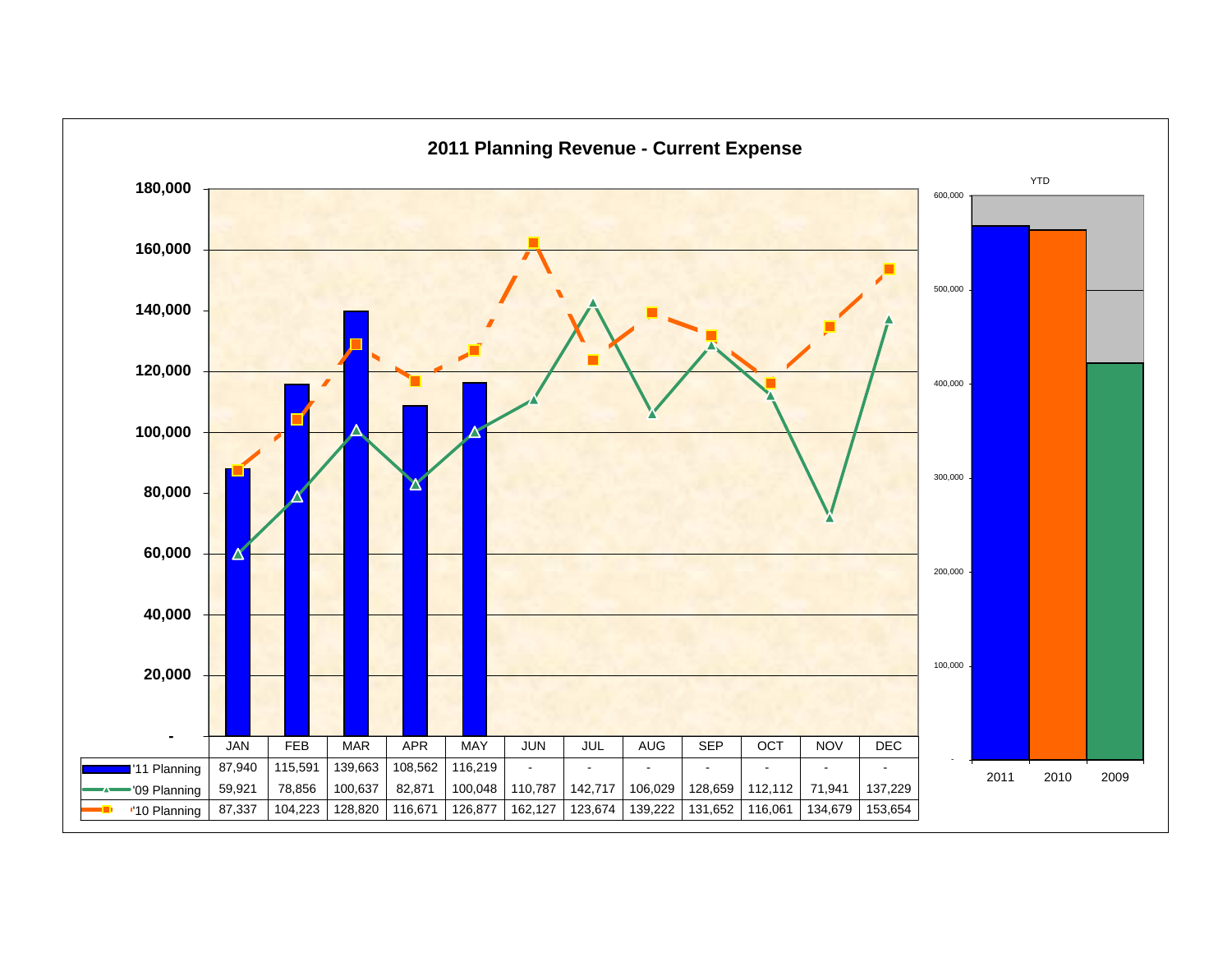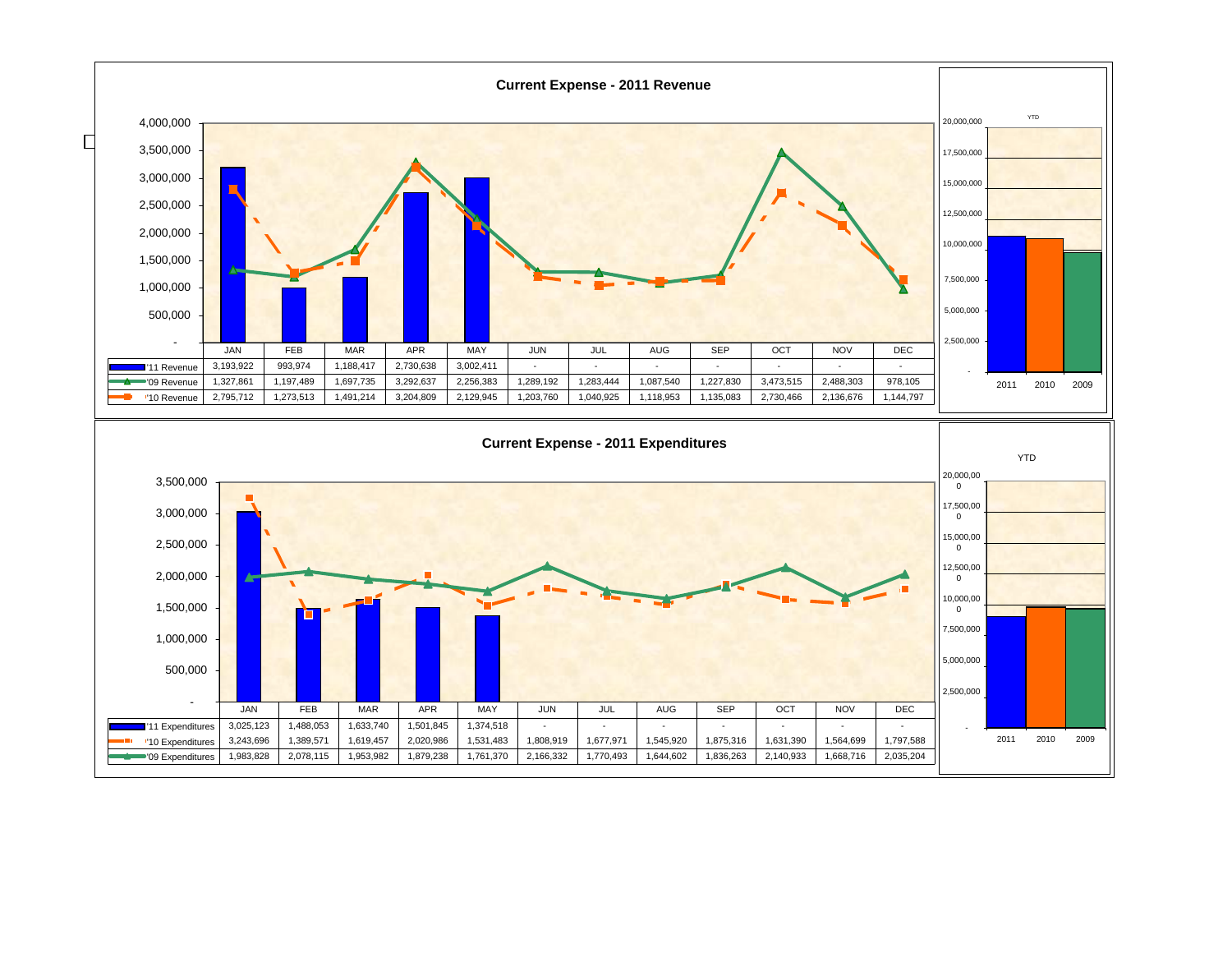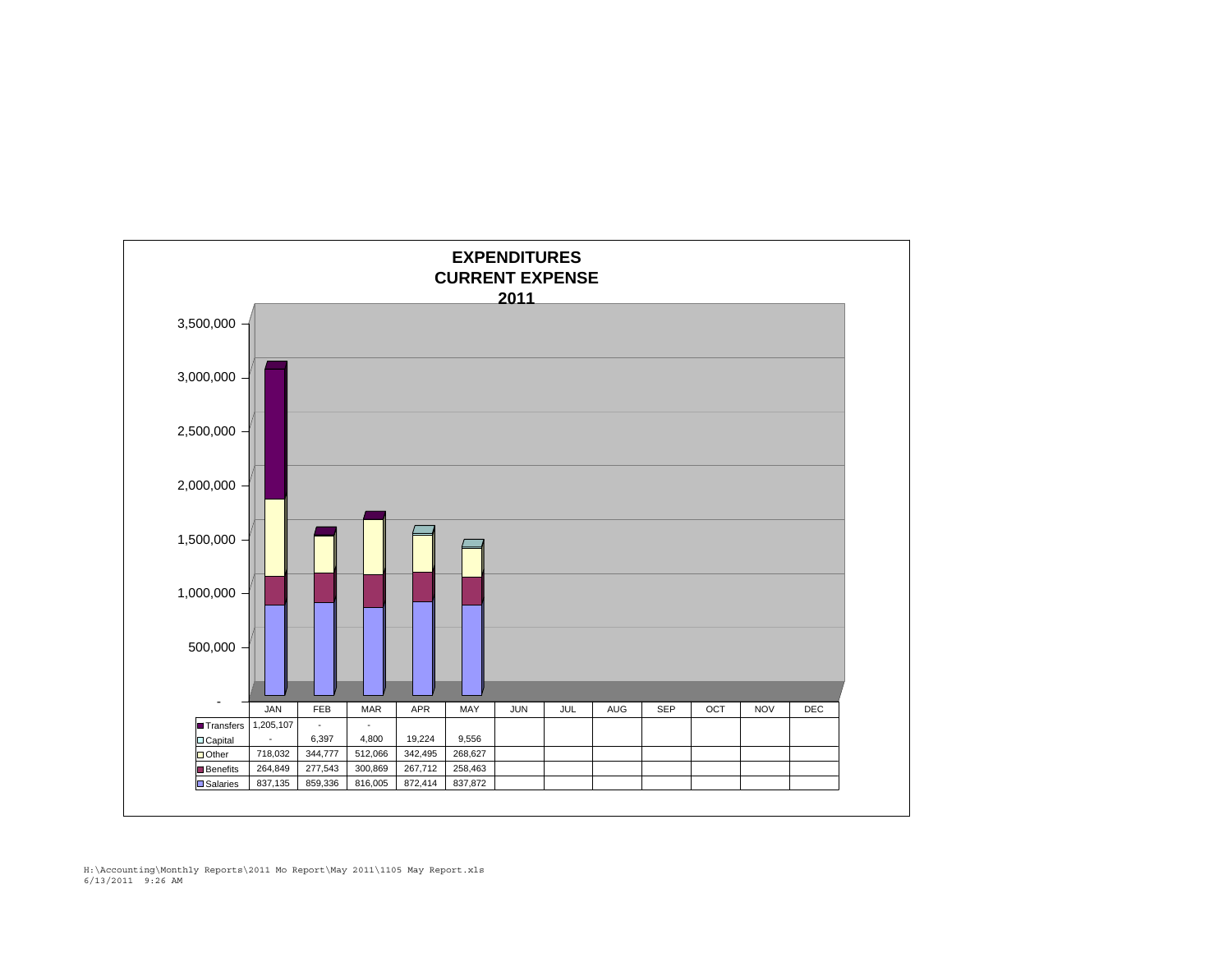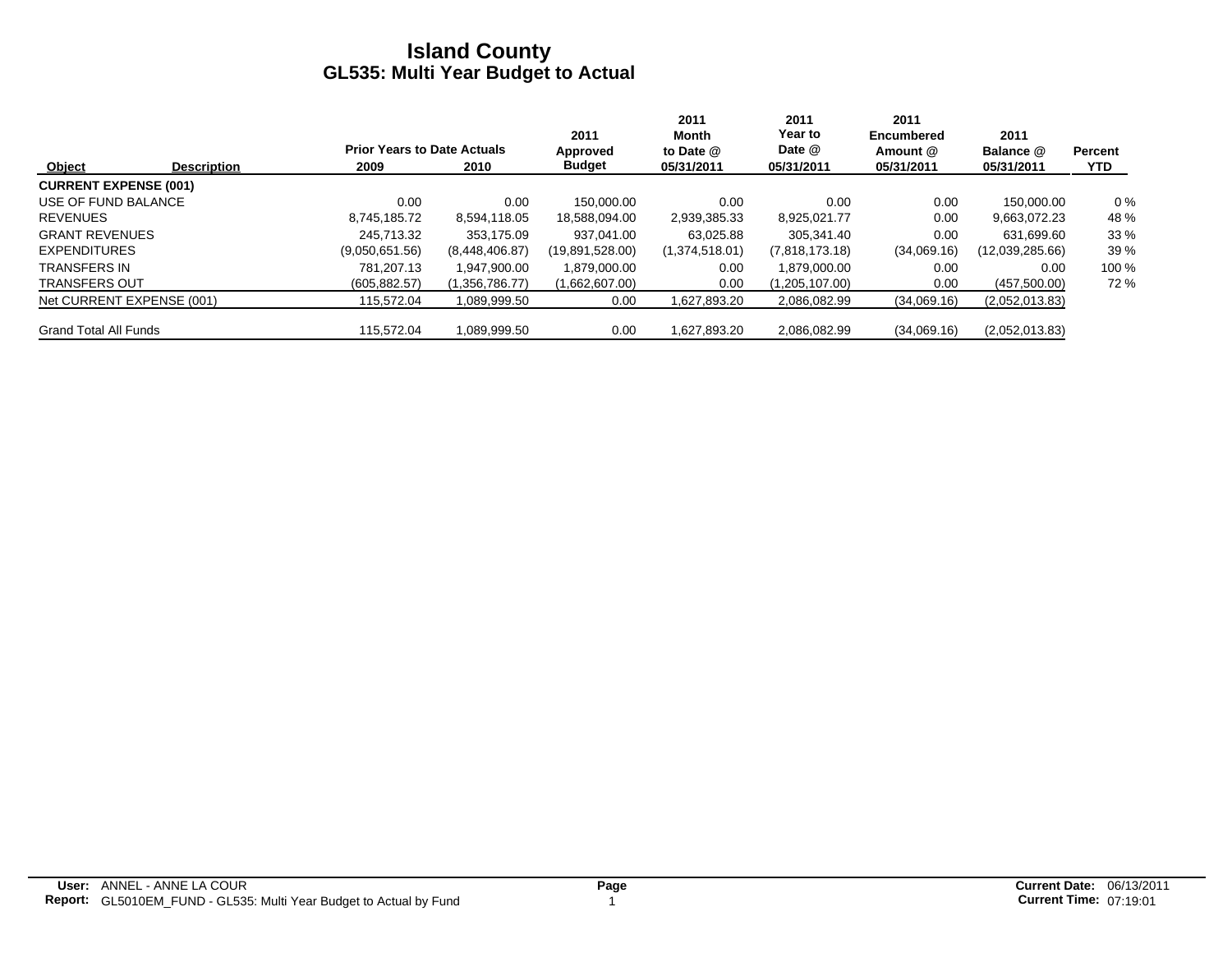|                              |                    |                                    |                | 2011            | 2011<br>Month  | 2011<br>Year to | 2011<br><b>Encumbered</b> | 2011            |                |
|------------------------------|--------------------|------------------------------------|----------------|-----------------|----------------|-----------------|---------------------------|-----------------|----------------|
|                              |                    | <b>Prior Years to Date Actuals</b> |                | Approved        | to Date @      | Date @          | Amount @                  | Balance @       | <b>Percent</b> |
| Object                       | <b>Description</b> | 2009                               | 2010           | <b>Budget</b>   | 05/31/2011     | 05/31/2011      | 05/31/2011                | 05/31/2011      | <b>YTD</b>     |
| <b>CURRENT EXPENSE (001)</b> |                    |                                    |                |                 |                |                 |                           |                 |                |
| USE OF FUND BALANCE          |                    | 0.00                               | 0.00           | 150.000.00      | 0.00           | 0.00            | 0.00                      | 150.000.00      | $0\%$          |
| <b>REVENUES</b>              |                    | 8,745,185.72                       | 8,594,118.05   | 18,588,094.00   | 2,939,385.33   | 8,925,021.77    | 0.00                      | 9,663,072.23    | 48 %           |
| <b>GRANT REVENUES</b>        |                    | 245.713.32                         | 353.175.09     | 937.041.00      | 63.025.88      | 305.341.40      | 0.00                      | 631.699.60      | 33%            |
| <b>EXPENDITURES</b>          |                    | (9,050,651.56)                     | (8,448,406.87) | (19,891,528.00) | (1,374,518.01) | (7,818,173.18)  | (34,069.16)               | (12,039,285.66) | 39 %           |
| <b>TRANSFERS IN</b>          |                    | 781.207.13                         | 1.947.900.00   | 1,879,000.00    | 0.00           | 1.879.000.00    | 0.00                      | 0.00            | 100 %          |
| <b>TRANSFERS OUT</b>         |                    | (605, 882.57)                      | (1,356,786.77) | (1,662,607.00)  | 0.00           | (1,205,107.00)  | 0.00                      | (457,500.00)    | 72%            |
| Net CURRENT EXPENSE (001)    |                    | 115.572.04                         | 1,089,999.50   | 0.00            | 1,627,893.20   | 2,086,082.99    | (34,069.16)               | (2,052,013.83)  |                |
| <b>Grand Total All Funds</b> |                    | 115.572.04                         | 1.089.999.50   | 0.00            | 1,627,893.20   | 2.086.082.99    | (34,069.16)               | (2,052,013.83)  |                |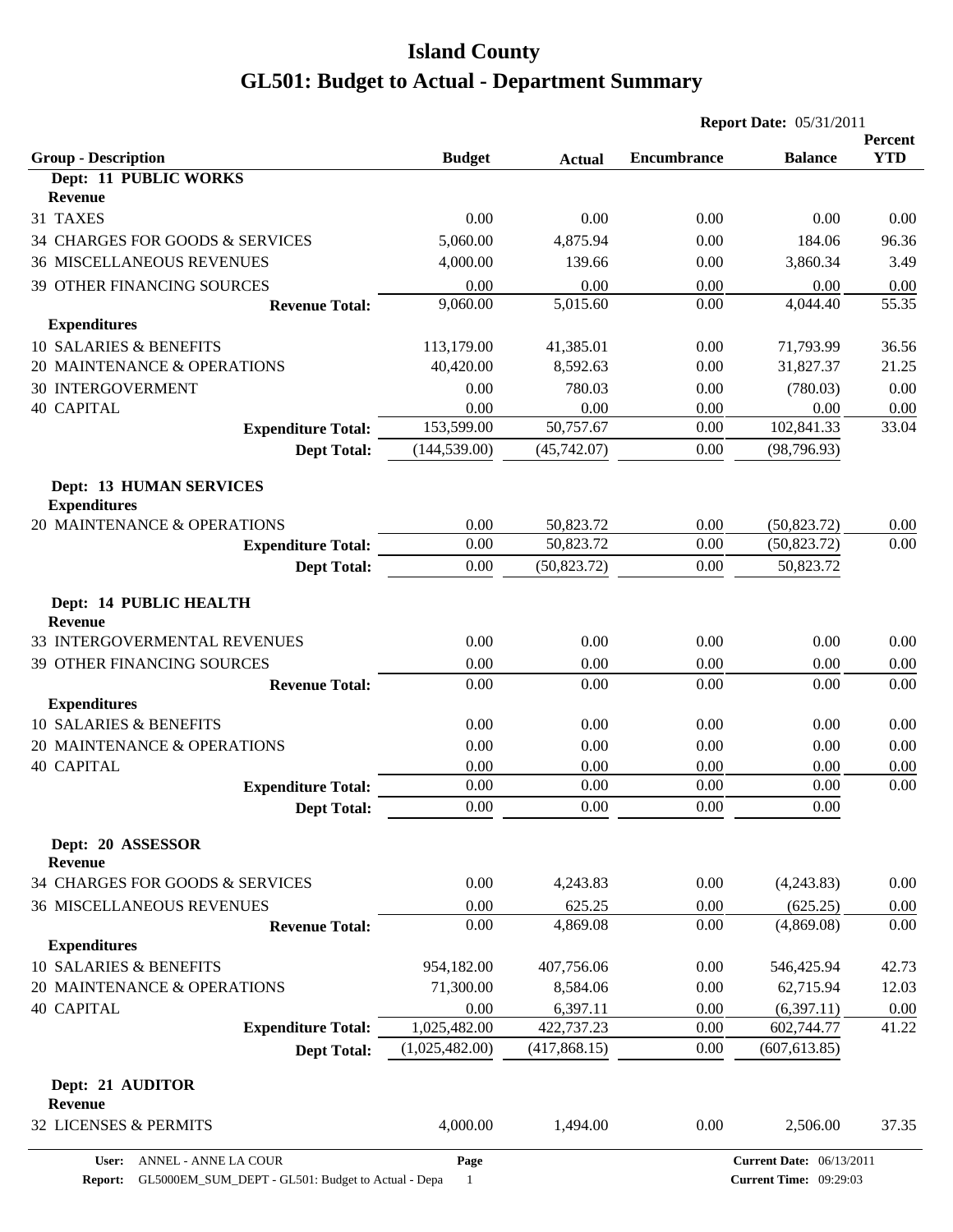|                                                             |                         |                       | <b>Report Date: 05/31/2011</b> |                        |                       |
|-------------------------------------------------------------|-------------------------|-----------------------|--------------------------------|------------------------|-----------------------|
| <b>Group - Description</b>                                  | <b>Budget</b>           | <b>Actual</b>         | <b>Encumbrance</b>             | <b>Balance</b>         | Percent<br><b>YTD</b> |
| Dept: 11 PUBLIC WORKS                                       |                         |                       |                                |                        |                       |
| <b>Revenue</b>                                              |                         |                       |                                |                        |                       |
| 31 TAXES                                                    | 0.00                    | 0.00                  | 0.00                           | 0.00                   | 0.00                  |
| 34 CHARGES FOR GOODS & SERVICES                             | 5,060.00                | 4,875.94              | 0.00                           | 184.06                 | 96.36                 |
| <b>36 MISCELLANEOUS REVENUES</b>                            | 4,000.00                | 139.66                | 0.00                           | 3,860.34               | 3.49                  |
| <b>39 OTHER FINANCING SOURCES</b>                           | 0.00                    | 0.00                  | 0.00                           | 0.00                   | 0.00                  |
| <b>Revenue Total:</b>                                       | 9,060.00                | 5,015.60              | 0.00                           | 4,044.40               | 55.35                 |
| <b>Expenditures</b>                                         |                         |                       |                                |                        |                       |
| 10 SALARIES & BENEFITS<br>20 MAINTENANCE & OPERATIONS       | 113,179.00<br>40,420.00 | 41,385.01<br>8,592.63 | 0.00<br>0.00                   | 71,793.99<br>31,827.37 | 36.56<br>21.25        |
| <b>30 INTERGOVERMENT</b>                                    | 0.00                    | 780.03                | 0.00                           | (780.03)               | 0.00                  |
| <b>40 CAPITAL</b>                                           | 0.00                    | 0.00                  | 0.00                           | 0.00                   | 0.00                  |
| <b>Expenditure Total:</b>                                   | 153,599.00              | 50,757.67             | 0.00                           | 102,841.33             | 33.04                 |
| <b>Dept Total:</b>                                          | (144, 539.00)           | (45,742.07)           | 0.00                           | (98, 796.93)           |                       |
|                                                             |                         |                       |                                |                        |                       |
| <b>Dept: 13 HUMAN SERVICES</b><br><b>Expenditures</b>       |                         |                       |                                |                        |                       |
| 20 MAINTENANCE & OPERATIONS                                 | 0.00                    | 50,823.72             | 0.00                           | (50, 823.72)           | 0.00                  |
| <b>Expenditure Total:</b>                                   | 0.00                    | 50,823.72             | 0.00                           | (50, 823.72)           | 0.00                  |
| <b>Dept Total:</b>                                          | 0.00                    | (50, 823.72)          | 0.00                           | 50,823.72              |                       |
| Dept: 14 PUBLIC HEALTH<br><b>Revenue</b>                    |                         |                       |                                |                        |                       |
| 33 INTERGOVERMENTAL REVENUES                                | 0.00                    | 0.00                  | 0.00                           | 0.00                   | 0.00                  |
| 39 OTHER FINANCING SOURCES                                  | 0.00                    | 0.00                  | 0.00                           | 0.00                   | 0.00                  |
| <b>Revenue Total:</b>                                       | 0.00                    | 0.00                  | 0.00                           | 0.00                   | 0.00                  |
| <b>Expenditures</b>                                         |                         |                       |                                |                        |                       |
| 10 SALARIES & BENEFITS                                      | 0.00                    | 0.00                  | 0.00                           | 0.00                   | 0.00                  |
| 20 MAINTENANCE & OPERATIONS                                 | 0.00                    | 0.00                  | 0.00                           | 0.00                   | 0.00                  |
| <b>40 CAPITAL</b>                                           | 0.00                    | 0.00                  | 0.00                           | 0.00                   | 0.00                  |
| <b>Expenditure Total:</b>                                   | 0.00                    | 0.00                  | 0.00                           | 0.00                   | 0.00                  |
| <b>Dept Total:</b>                                          | 0.00                    | 0.00                  | 0.00                           | $0.00\,$               |                       |
| Dept: 20 ASSESSOR<br><b>Revenue</b>                         |                         |                       |                                |                        |                       |
| 34 CHARGES FOR GOODS & SERVICES                             | 0.00                    | 4,243.83              | 0.00                           | (4,243.83)             | 0.00                  |
| <b>36 MISCELLANEOUS REVENUES</b>                            | 0.00                    | 625.25                | 0.00                           | (625.25)               | 0.00                  |
| <b>Revenue Total:</b><br><b>Expenditures</b>                | 0.00                    | 4,869.08              | 0.00                           | (4,869.08)             | 0.00                  |
| 10 SALARIES & BENEFITS                                      | 954,182.00              | 407,756.06            | 0.00                           | 546,425.94             | 42.73                 |
| 20 MAINTENANCE & OPERATIONS                                 | 71,300.00               | 8,584.06              | 0.00                           | 62,715.94              | 12.03                 |
| <b>40 CAPITAL</b>                                           | 0.00                    | 6,397.11              | 0.00                           | (6,397.11)             | 0.00                  |
| <b>Expenditure Total:</b>                                   | 1,025,482.00            | 422,737.23            | 0.00                           | 602,744.77             | 41.22                 |
| <b>Dept Total:</b>                                          | (1,025,482.00)          | (417, 868.15)         | 0.00                           | (607, 613.85)          |                       |
| Dept: 21 AUDITOR<br><b>Revenue</b><br>32 LICENSES & PERMITS | 4,000.00                | 1,494.00              | 0.00                           | 2,506.00               | 37.35                 |
|                                                             |                         |                       |                                |                        |                       |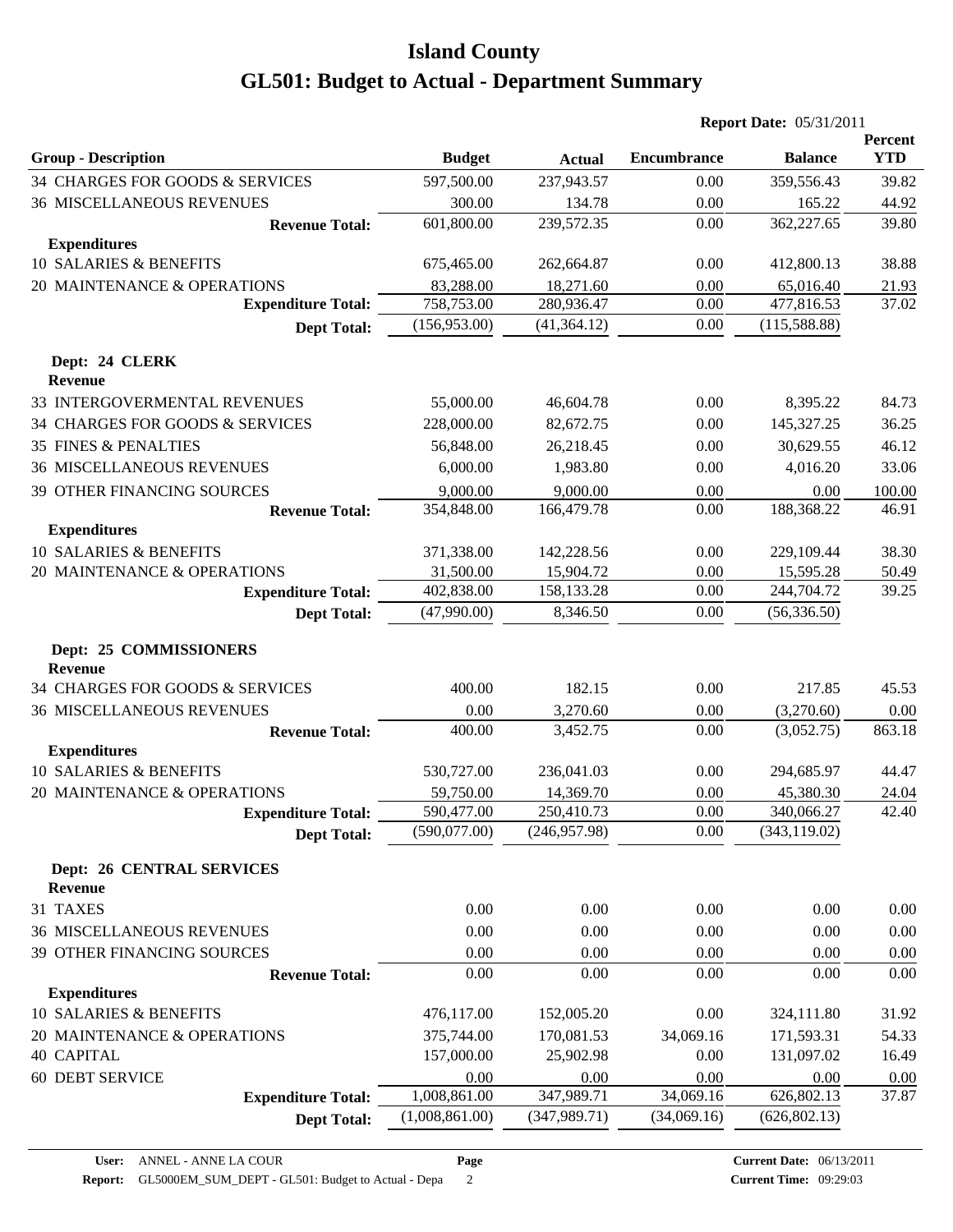|                                          |                      |                    |                    | <b>Report Date: 05/31/2011</b> |                       |
|------------------------------------------|----------------------|--------------------|--------------------|--------------------------------|-----------------------|
| <b>Group - Description</b>               | <b>Budget</b>        | <b>Actual</b>      | <b>Encumbrance</b> | <b>Balance</b>                 | Percent<br><b>YTD</b> |
| 34 CHARGES FOR GOODS & SERVICES          | 597,500.00           | 237,943.57         | 0.00               | 359,556.43                     | 39.82                 |
| <b>36 MISCELLANEOUS REVENUES</b>         | 300.00               | 134.78             | 0.00               | 165.22                         | 44.92                 |
| <b>Revenue Total:</b>                    | 601,800.00           | 239,572.35         | 0.00               | 362,227.65                     | 39.80                 |
| <b>Expenditures</b>                      |                      |                    |                    |                                |                       |
| 10 SALARIES & BENEFITS                   | 675,465.00           | 262,664.87         | 0.00               | 412,800.13                     | 38.88                 |
| 20 MAINTENANCE & OPERATIONS              | 83,288.00            | 18,271.60          | 0.00               | 65,016.40                      | 21.93                 |
| <b>Expenditure Total:</b>                | 758,753.00           | 280,936.47         | 0.00               | 477,816.53                     | 37.02                 |
| <b>Dept Total:</b>                       | (156, 953.00)        | (41, 364.12)       | 0.00               | (115,588.88)                   |                       |
| Dept: 24 CLERK                           |                      |                    |                    |                                |                       |
| <b>Revenue</b>                           |                      |                    |                    |                                |                       |
| 33 INTERGOVERMENTAL REVENUES             | 55,000.00            | 46,604.78          | 0.00               | 8,395.22                       | 84.73                 |
| 34 CHARGES FOR GOODS & SERVICES          | 228,000.00           | 82,672.75          | 0.00               | 145,327.25                     | 36.25                 |
| <b>35 FINES &amp; PENALTIES</b>          | 56,848.00            | 26,218.45          | 0.00               | 30,629.55                      | 46.12                 |
| <b>36 MISCELLANEOUS REVENUES</b>         | 6,000.00             | 1,983.80           | 0.00               | 4,016.20                       | 33.06                 |
| 39 OTHER FINANCING SOURCES               | 9,000.00             | 9,000.00           | 0.00               | 0.00                           | 100.00                |
| <b>Revenue Total:</b>                    | 354,848.00           | 166,479.78         | 0.00               | 188,368.22                     | 46.91                 |
| <b>Expenditures</b>                      |                      |                    |                    |                                |                       |
| 10 SALARIES & BENEFITS                   | 371,338.00           | 142,228.56         | 0.00               | 229,109.44                     | 38.30                 |
| 20 MAINTENANCE & OPERATIONS              | 31,500.00            | 15,904.72          | 0.00               | 15,595.28                      | 50.49                 |
| <b>Expenditure Total:</b>                | 402,838.00           | 158,133.28         | 0.00               | 244,704.72                     | 39.25                 |
| <b>Dept Total:</b>                       | (47,990.00)          | 8,346.50           | 0.00               | (56, 336.50)                   |                       |
| Dept: 25 COMMISSIONERS<br><b>Revenue</b> |                      |                    |                    |                                |                       |
| 34 CHARGES FOR GOODS & SERVICES          | 400.00               | 182.15             | 0.00               | 217.85                         | 45.53                 |
| <b>36 MISCELLANEOUS REVENUES</b>         | 0.00                 | 3,270.60           | 0.00               | (3,270.60)                     | 0.00                  |
| <b>Revenue Total:</b>                    | 400.00               | 3,452.75           | 0.00               | (3,052.75)                     | 863.18                |
| <b>Expenditures</b>                      |                      |                    |                    |                                |                       |
| 10 SALARIES & BENEFITS                   | 530,727.00           | 236,041.03         | 0.00               | 294,685.97                     | 44.47                 |
| 20 MAINTENANCE & OPERATIONS              | 59,750.00            | 14,369.70          | 0.00               | 45,380.30                      | 24.04                 |
| <b>Expenditure Total:</b>                | 590,477.00           | 250,410.73         | $0.00\,$           | 340,066.27                     | 42.40                 |
| <b>Dept Total:</b>                       | (590,077.00)         | (246, 957.98)      | 0.00               | (343, 119.02)                  |                       |
| <b>Dept: 26 CENTRAL SERVICES</b>         |                      |                    |                    |                                |                       |
| <b>Revenue</b>                           |                      |                    |                    |                                |                       |
| 31 TAXES                                 | 0.00                 | 0.00               | 0.00               | 0.00                           | 0.00                  |
| 36 MISCELLANEOUS REVENUES                | 0.00                 | 0.00               | 0.00               | 0.00                           | 0.00                  |
| 39 OTHER FINANCING SOURCES               | 0.00                 | 0.00               | 0.00               | 0.00                           | 0.00                  |
| <b>Revenue Total:</b>                    | 0.00                 | 0.00               | 0.00               | 0.00                           | 0.00                  |
| <b>Expenditures</b>                      |                      |                    |                    |                                |                       |
| 10 SALARIES & BENEFITS                   | 476,117.00           | 152,005.20         | 0.00               | 324,111.80                     | 31.92                 |
| 20 MAINTENANCE & OPERATIONS              | 375,744.00           | 170,081.53         | 34,069.16          | 171,593.31                     | 54.33                 |
| <b>40 CAPITAL</b>                        | 157,000.00           | 25,902.98          | 0.00               | 131,097.02                     | 16.49                 |
| <b>60 DEBT SERVICE</b>                   | 0.00<br>1,008,861.00 | 0.00<br>347,989.71 | 0.00<br>34,069.16  | 0.00<br>626,802.13             | 0.00<br>37.87         |
| <b>Expenditure Total:</b>                | (1,008,861.00)       | (347, 989.71)      | (34,069.16)        | (626, 802.13)                  |                       |
| <b>Dept Total:</b>                       |                      |                    |                    |                                |                       |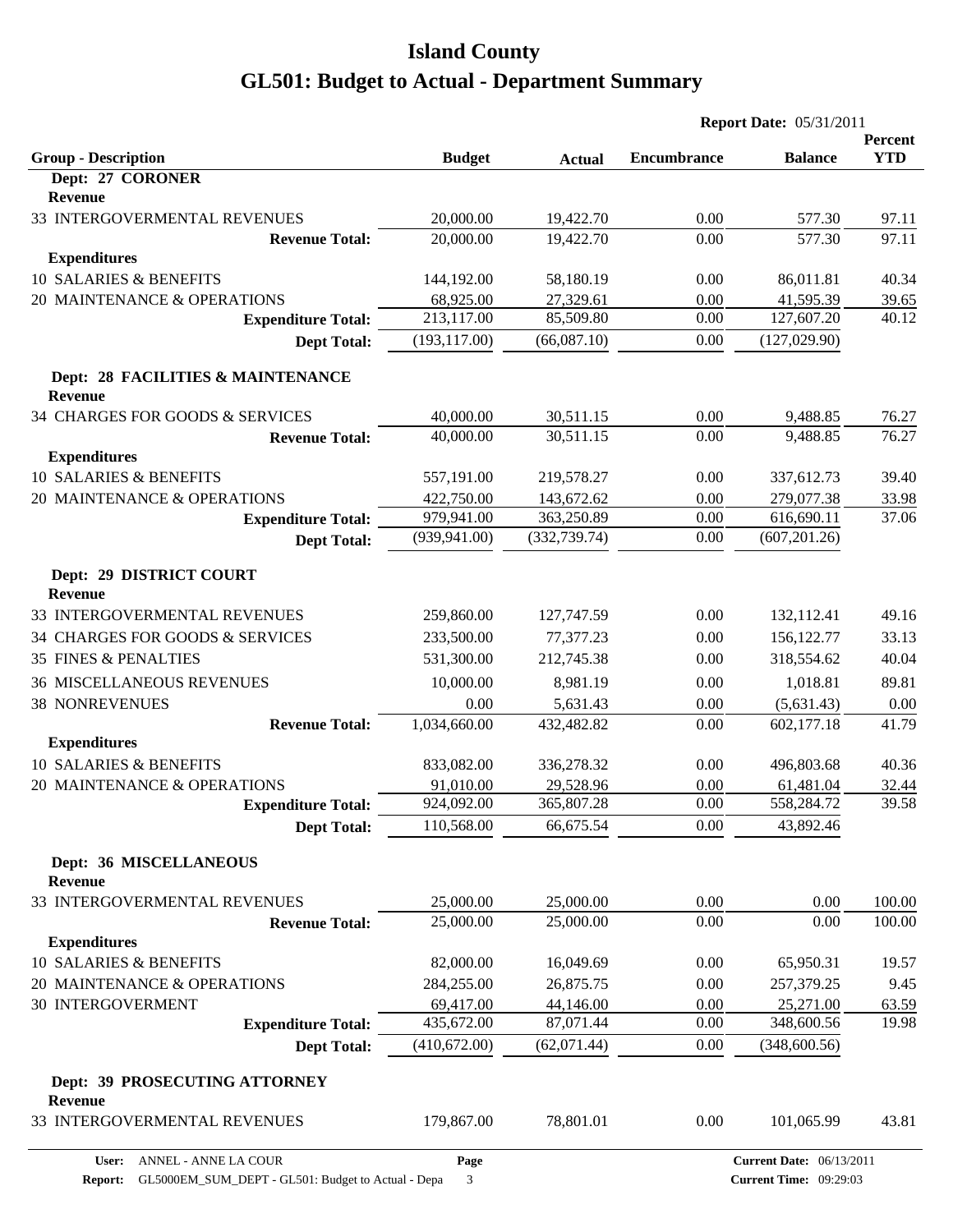|                                                     |               |               |                    | <b>Report Date: 05/31/2011</b> |            |  |  |
|-----------------------------------------------------|---------------|---------------|--------------------|--------------------------------|------------|--|--|
|                                                     |               |               |                    |                                | Percent    |  |  |
| <b>Group - Description</b>                          | <b>Budget</b> | <b>Actual</b> | <b>Encumbrance</b> | <b>Balance</b>                 | <b>YTD</b> |  |  |
| Dept: 27 CORONER<br><b>Revenue</b>                  |               |               |                    |                                |            |  |  |
| 33 INTERGOVERMENTAL REVENUES                        | 20,000.00     | 19,422.70     | 0.00               | 577.30                         | 97.11      |  |  |
| <b>Revenue Total:</b>                               | 20,000.00     | 19,422.70     | 0.00               | 577.30                         | 97.11      |  |  |
| <b>Expenditures</b>                                 |               |               |                    |                                |            |  |  |
| 10 SALARIES & BENEFITS                              | 144,192.00    | 58,180.19     | 0.00               | 86,011.81                      | 40.34      |  |  |
| 20 MAINTENANCE & OPERATIONS                         | 68,925.00     | 27,329.61     | 0.00               | 41,595.39                      | 39.65      |  |  |
| <b>Expenditure Total:</b>                           | 213,117.00    | 85,509.80     | 0.00               | 127,607.20                     | 40.12      |  |  |
| <b>Dept Total:</b>                                  | (193, 117.00) | (66,087.10)   | 0.00               | (127, 029.90)                  |            |  |  |
| Dept: 28 FACILITIES & MAINTENANCE<br><b>Revenue</b> |               |               |                    |                                |            |  |  |
| 34 CHARGES FOR GOODS & SERVICES                     | 40,000.00     | 30,511.15     | 0.00               | 9,488.85                       | 76.27      |  |  |
| <b>Revenue Total:</b>                               | 40,000.00     | 30,511.15     | 0.00               | 9,488.85                       | 76.27      |  |  |
| <b>Expenditures</b>                                 |               |               |                    |                                |            |  |  |
| <b>10 SALARIES &amp; BENEFITS</b>                   | 557,191.00    | 219,578.27    | 0.00               | 337,612.73                     | 39.40      |  |  |
| 20 MAINTENANCE & OPERATIONS                         | 422,750.00    | 143,672.62    | 0.00               | 279,077.38                     | 33.98      |  |  |
| <b>Expenditure Total:</b>                           | 979,941.00    | 363,250.89    | 0.00               | 616,690.11                     | 37.06      |  |  |
| <b>Dept Total:</b>                                  | (939, 941.00) | (332, 739.74) | 0.00               | (607, 201.26)                  |            |  |  |
| Dept: 29 DISTRICT COURT<br><b>Revenue</b>           |               |               |                    |                                |            |  |  |
| 33 INTERGOVERMENTAL REVENUES                        | 259,860.00    | 127,747.59    | 0.00               | 132,112.41                     | 49.16      |  |  |
| 34 CHARGES FOR GOODS & SERVICES                     | 233,500.00    | 77,377.23     | 0.00               | 156, 122. 77                   | 33.13      |  |  |
| <b>35 FINES &amp; PENALTIES</b>                     | 531,300.00    | 212,745.38    | 0.00               | 318,554.62                     | 40.04      |  |  |
| <b>36 MISCELLANEOUS REVENUES</b>                    | 10,000.00     | 8,981.19      | 0.00               | 1,018.81                       | 89.81      |  |  |
| <b>38 NONREVENUES</b>                               | 0.00          | 5,631.43      | 0.00               | (5,631.43)                     | 0.00       |  |  |
| <b>Revenue Total:</b>                               | 1,034,660.00  | 432,482.82    | 0.00               | 602,177.18                     | 41.79      |  |  |
| <b>Expenditures</b>                                 |               |               |                    |                                |            |  |  |
| 10 SALARIES & BENEFITS                              | 833,082.00    | 336,278.32    | 0.00               | 496,803.68                     | 40.36      |  |  |
| 20 MAINTENANCE & OPERATIONS                         | 91,010.00     | 29,528.96     | 0.00               | 61,481.04                      | 32.44      |  |  |
| <b>Expenditure Total:</b>                           | 924,092.00    | 365,807.28    | 0.00               | 558,284.72                     | 39.58      |  |  |
| <b>Dept Total:</b>                                  | 110,568.00    | 66,675.54     | 0.00               | 43,892.46                      |            |  |  |
| <b>Dept: 36 MISCELLANEOUS</b><br><b>Revenue</b>     |               |               |                    |                                |            |  |  |
| 33 INTERGOVERMENTAL REVENUES                        | 25,000.00     | 25,000.00     | 0.00               | 0.00                           | 100.00     |  |  |
| <b>Revenue Total:</b>                               | 25,000.00     | 25,000.00     | 0.00               | 0.00                           | 100.00     |  |  |
| <b>Expenditures</b>                                 |               |               |                    |                                |            |  |  |
| 10 SALARIES & BENEFITS                              | 82,000.00     | 16,049.69     | 0.00               | 65,950.31                      | 19.57      |  |  |
| 20 MAINTENANCE & OPERATIONS                         | 284,255.00    | 26,875.75     | 0.00               | 257,379.25                     | 9.45       |  |  |
| 30 INTERGOVERMENT                                   | 69,417.00     | 44,146.00     | 0.00               | 25,271.00                      | 63.59      |  |  |
| <b>Expenditure Total:</b>                           | 435,672.00    | 87,071.44     | 0.00               | 348,600.56                     | 19.98      |  |  |
| <b>Dept Total:</b>                                  | (410,672.00)  | (62,071.44)   | 0.00               | (348, 600.56)                  |            |  |  |
| Dept: 39 PROSECUTING ATTORNEY<br>Revenue            |               |               |                    |                                |            |  |  |
| 33 INTERGOVERMENTAL REVENUES                        | 179,867.00    | 78,801.01     | 0.00               | 101,065.99                     | 43.81      |  |  |

**Page**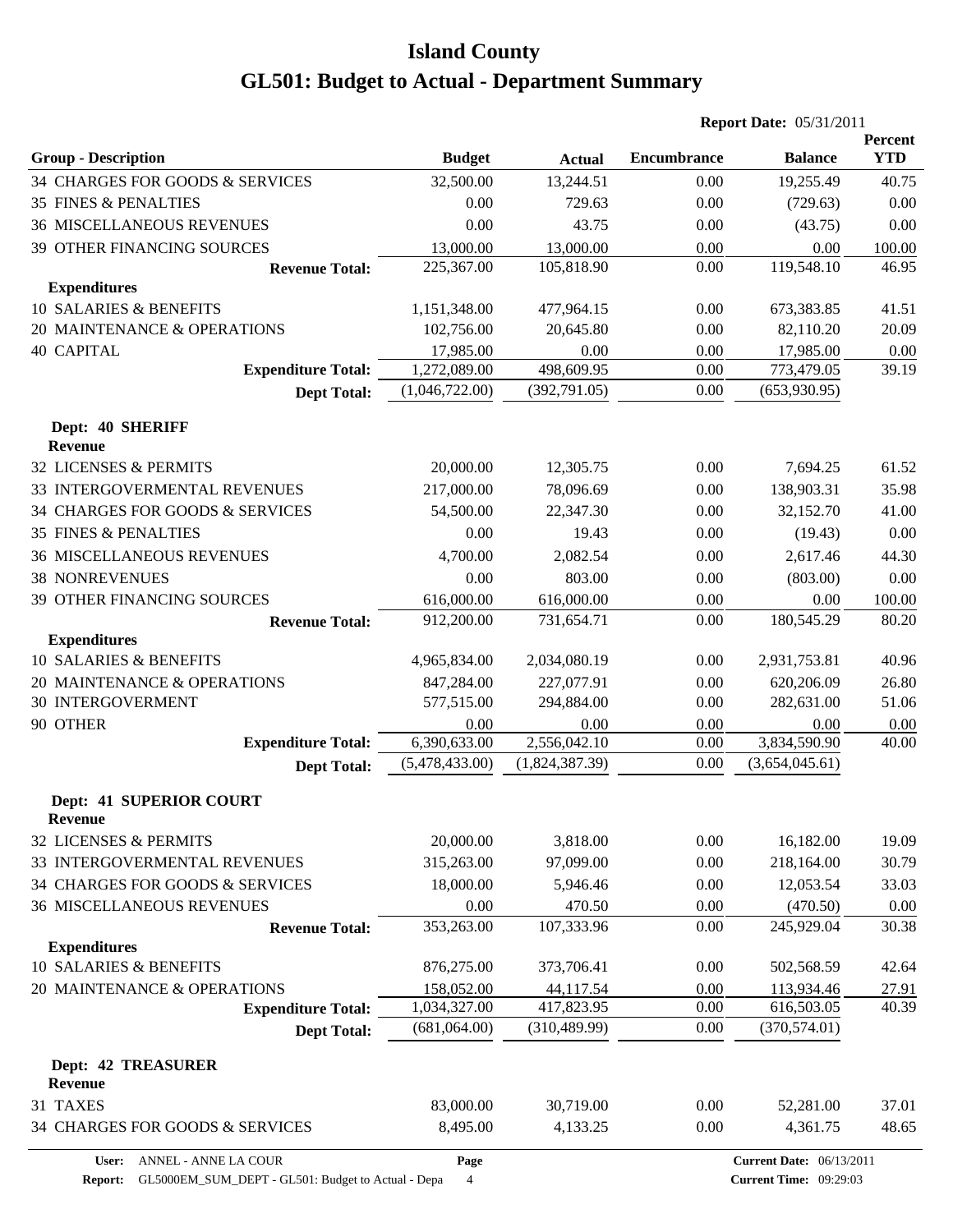|                                                  |                |                | <b>Report Date: 05/31/2011</b> |                                 |                       |  |  |
|--------------------------------------------------|----------------|----------------|--------------------------------|---------------------------------|-----------------------|--|--|
| <b>Group - Description</b>                       | <b>Budget</b>  | <b>Actual</b>  | <b>Encumbrance</b>             | <b>Balance</b>                  | Percent<br><b>YTD</b> |  |  |
| 34 CHARGES FOR GOODS & SERVICES                  | 32,500.00      | 13,244.51      | 0.00                           | 19,255.49                       | 40.75                 |  |  |
| <b>35 FINES &amp; PENALTIES</b>                  | 0.00           | 729.63         | 0.00                           | (729.63)                        | 0.00                  |  |  |
| <b>36 MISCELLANEOUS REVENUES</b>                 | 0.00           | 43.75          | 0.00                           | (43.75)                         | 0.00                  |  |  |
| 39 OTHER FINANCING SOURCES                       | 13,000.00      | 13,000.00      | 0.00                           | 0.00                            | 100.00                |  |  |
| <b>Revenue Total:</b>                            | 225,367.00     | 105,818.90     | 0.00                           | 119,548.10                      | 46.95                 |  |  |
| <b>Expenditures</b>                              |                |                |                                |                                 |                       |  |  |
| <b>10 SALARIES &amp; BENEFITS</b>                | 1,151,348.00   | 477,964.15     | 0.00                           | 673,383.85                      | 41.51                 |  |  |
| 20 MAINTENANCE & OPERATIONS                      | 102,756.00     | 20,645.80      | 0.00                           | 82,110.20                       | 20.09                 |  |  |
| <b>40 CAPITAL</b>                                | 17,985.00      | 0.00           | 0.00                           | 17,985.00                       | 0.00                  |  |  |
| <b>Expenditure Total:</b>                        | 1,272,089.00   | 498,609.95     | 0.00                           | 773,479.05                      | 39.19                 |  |  |
| <b>Dept Total:</b>                               | (1,046,722.00) | (392, 791.05)  | 0.00                           | (653,930.95)                    |                       |  |  |
| Dept: 40 SHERIFF<br><b>Revenue</b>               |                |                |                                |                                 |                       |  |  |
| 32 LICENSES & PERMITS                            | 20,000.00      | 12,305.75      | 0.00                           | 7,694.25                        | 61.52                 |  |  |
| 33 INTERGOVERMENTAL REVENUES                     | 217,000.00     | 78,096.69      | 0.00                           | 138,903.31                      | 35.98                 |  |  |
| 34 CHARGES FOR GOODS & SERVICES                  | 54,500.00      | 22,347.30      | 0.00                           | 32,152.70                       | 41.00                 |  |  |
| <b>35 FINES &amp; PENALTIES</b>                  | 0.00           | 19.43          | 0.00                           | (19.43)                         | 0.00                  |  |  |
| <b>36 MISCELLANEOUS REVENUES</b>                 | 4,700.00       | 2,082.54       | 0.00                           | 2,617.46                        | 44.30                 |  |  |
| <b>38 NONREVENUES</b>                            | 0.00           | 803.00         | 0.00                           | (803.00)                        | 0.00                  |  |  |
| 39 OTHER FINANCING SOURCES                       | 616,000.00     | 616,000.00     | 0.00                           | 0.00                            | 100.00                |  |  |
| <b>Revenue Total:</b>                            | 912,200.00     | 731,654.71     | 0.00                           | 180,545.29                      | 80.20                 |  |  |
| <b>Expenditures</b>                              |                |                |                                |                                 |                       |  |  |
| 10 SALARIES & BENEFITS                           | 4,965,834.00   | 2,034,080.19   | 0.00                           | 2,931,753.81                    | 40.96                 |  |  |
| 20 MAINTENANCE & OPERATIONS                      | 847,284.00     | 227,077.91     | 0.00                           | 620,206.09                      | 26.80                 |  |  |
| 30 INTERGOVERMENT                                | 577,515.00     | 294,884.00     | 0.00                           | 282,631.00                      | 51.06                 |  |  |
| 90 OTHER                                         | 0.00           | 0.00           | 0.00                           | 0.00                            | 0.00                  |  |  |
| <b>Expenditure Total:</b>                        | 6,390,633.00   | 2,556,042.10   | 0.00                           | 3,834,590.90                    | 40.00                 |  |  |
| <b>Dept Total:</b>                               | (5,478,433.00) | (1,824,387.39) | 0.00                           | (3,654,045.61)                  |                       |  |  |
| <b>Dept: 41 SUPERIOR COURT</b><br><b>Revenue</b> |                |                |                                |                                 |                       |  |  |
| 32 LICENSES & PERMITS                            | 20,000.00      | 3,818.00       | 0.00                           | 16,182.00                       | 19.09                 |  |  |
| 33 INTERGOVERMENTAL REVENUES                     | 315,263.00     | 97,099.00      | 0.00                           | 218,164.00                      | 30.79                 |  |  |
| 34 CHARGES FOR GOODS & SERVICES                  | 18,000.00      | 5,946.46       | 0.00                           | 12,053.54                       | 33.03                 |  |  |
| <b>36 MISCELLANEOUS REVENUES</b>                 | 0.00           | 470.50         | 0.00                           | (470.50)                        | 0.00                  |  |  |
| <b>Revenue Total:</b>                            | 353,263.00     | 107,333.96     | 0.00                           | 245,929.04                      | 30.38                 |  |  |
| <b>Expenditures</b>                              |                |                |                                |                                 |                       |  |  |
| 10 SALARIES & BENEFITS                           | 876,275.00     | 373,706.41     | 0.00                           | 502,568.59                      | 42.64                 |  |  |
| 20 MAINTENANCE & OPERATIONS                      | 158,052.00     | 44,117.54      | 0.00                           | 113,934.46                      | 27.91                 |  |  |
| <b>Expenditure Total:</b>                        | 1,034,327.00   | 417,823.95     | 0.00                           | 616,503.05                      | 40.39                 |  |  |
| <b>Dept Total:</b>                               | (681,064.00)   | (310, 489.99)  | 0.00                           | (370, 574.01)                   |                       |  |  |
| <b>Dept: 42 TREASURER</b>                        |                |                |                                |                                 |                       |  |  |
| Revenue                                          |                |                |                                |                                 |                       |  |  |
| 31 TAXES                                         | 83,000.00      | 30,719.00      | 0.00                           | 52,281.00                       | 37.01                 |  |  |
| 34 CHARGES FOR GOODS & SERVICES                  | 8,495.00       | 4,133.25       | 0.00                           | 4,361.75                        | 48.65                 |  |  |
| ANNEL - ANNE LA COUR<br>User:                    | Page           |                |                                | <b>Current Date: 06/13/2011</b> |                       |  |  |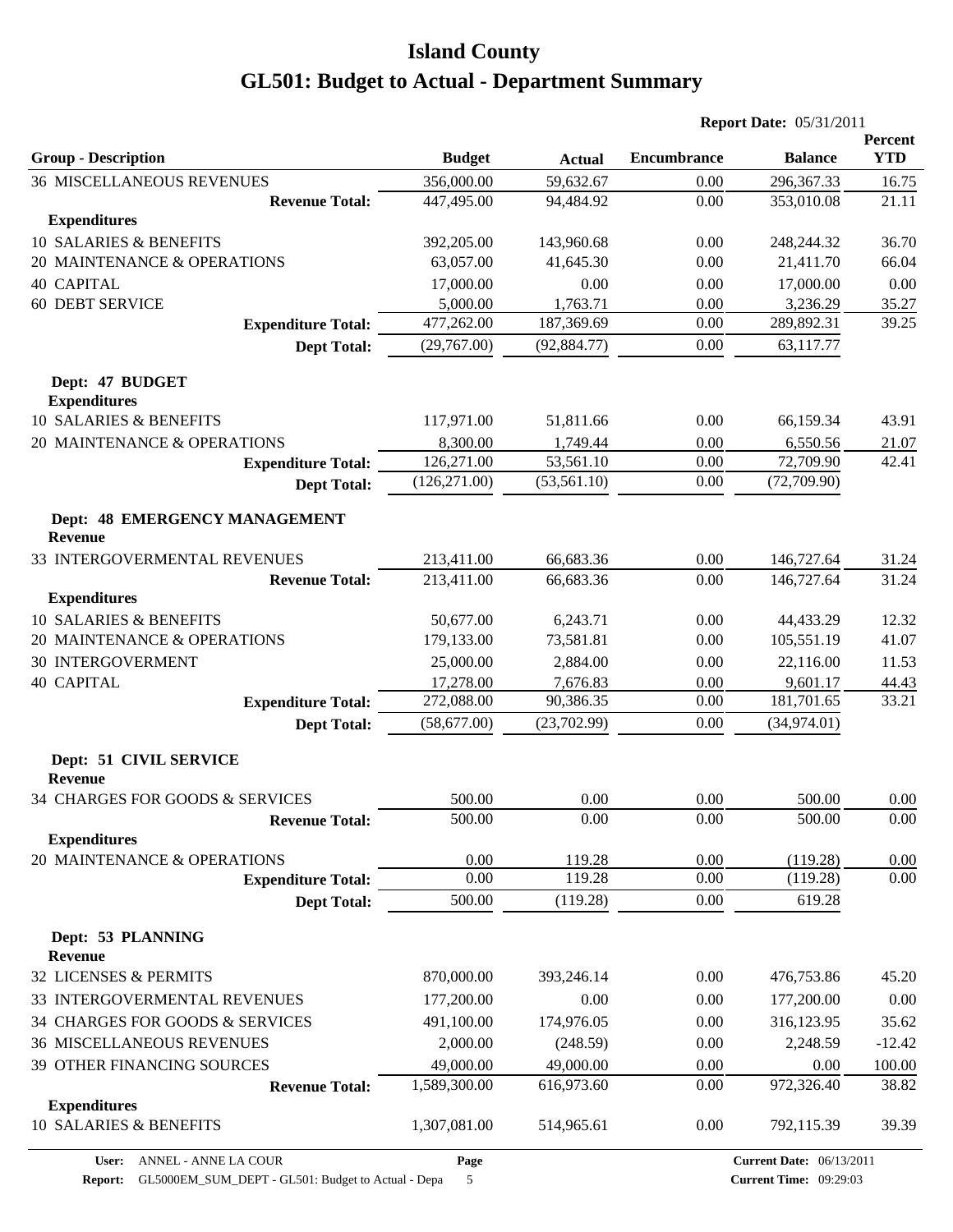|                                                        |               |               | <b>Report Date: 05/31/2011</b> |                |                              |
|--------------------------------------------------------|---------------|---------------|--------------------------------|----------------|------------------------------|
| <b>Group - Description</b>                             | <b>Budget</b> | <b>Actual</b> | <b>Encumbrance</b>             | <b>Balance</b> | <b>Percent</b><br><b>YTD</b> |
| <b>36 MISCELLANEOUS REVENUES</b>                       | 356,000.00    | 59,632.67     | 0.00                           | 296,367.33     | 16.75                        |
| <b>Revenue Total:</b>                                  | 447,495.00    | 94,484.92     | 0.00                           | 353,010.08     | 21.11                        |
| <b>Expenditures</b>                                    |               |               |                                |                |                              |
| 10 SALARIES & BENEFITS                                 | 392,205.00    | 143,960.68    | 0.00                           | 248,244.32     | 36.70                        |
| 20 MAINTENANCE & OPERATIONS                            | 63,057.00     | 41,645.30     | 0.00                           | 21,411.70      | 66.04                        |
| <b>40 CAPITAL</b>                                      | 17,000.00     | 0.00          | 0.00                           | 17,000.00      | 0.00                         |
| <b>60 DEBT SERVICE</b>                                 | 5,000.00      | 1,763.71      | 0.00                           | 3,236.29       | 35.27                        |
| <b>Expenditure Total:</b>                              | 477,262.00    | 187,369.69    | 0.00                           | 289,892.31     | 39.25                        |
| <b>Dept Total:</b>                                     | (29,767.00)   | (92, 884.77)  | 0.00                           | 63,117.77      |                              |
| Dept: 47 BUDGET<br><b>Expenditures</b>                 |               |               |                                |                |                              |
| 10 SALARIES & BENEFITS                                 | 117,971.00    | 51,811.66     | 0.00                           | 66,159.34      | 43.91                        |
| 20 MAINTENANCE & OPERATIONS                            | 8,300.00      | 1,749.44      | 0.00                           | 6,550.56       | 21.07                        |
| <b>Expenditure Total:</b>                              | 126,271.00    | 53,561.10     | 0.00                           | 72,709.90      | 42.41                        |
| <b>Dept Total:</b>                                     | (126, 271.00) | (53, 561.10)  | 0.00                           | (72,709.90)    |                              |
| <b>Dept: 48 EMERGENCY MANAGEMENT</b><br><b>Revenue</b> |               |               |                                |                |                              |
| 33 INTERGOVERMENTAL REVENUES                           | 213,411.00    | 66,683.36     | 0.00                           | 146,727.64     | 31.24                        |
| <b>Revenue Total:</b>                                  | 213,411.00    | 66,683.36     | 0.00                           | 146,727.64     | 31.24                        |
| <b>Expenditures</b>                                    |               |               |                                |                |                              |
| 10 SALARIES & BENEFITS                                 | 50,677.00     | 6,243.71      | 0.00                           | 44,433.29      | 12.32                        |
| 20 MAINTENANCE & OPERATIONS                            | 179,133.00    | 73,581.81     | 0.00                           | 105,551.19     | 41.07                        |
| <b>30 INTERGOVERMENT</b>                               | 25,000.00     | 2,884.00      | 0.00                           | 22,116.00      | 11.53                        |
| <b>40 CAPITAL</b>                                      | 17,278.00     | 7,676.83      | 0.00                           | 9,601.17       | 44.43                        |
| <b>Expenditure Total:</b>                              | 272,088.00    | 90,386.35     | 0.00                           | 181,701.65     | 33.21                        |
| <b>Dept Total:</b>                                     | (58,677.00)   | (23,702.99)   | 0.00                           | (34,974.01)    |                              |
| Dept: 51 CIVIL SERVICE<br><b>Revenue</b>               |               |               |                                |                |                              |
| 34 CHARGES FOR GOODS & SERVICES                        | 500.00        | 0.00          | 0.00                           | 500.00         | 0.00                         |
| <b>Revenue Total:</b>                                  | 500.00        | 0.00          | 0.00                           | 500.00         | 0.00                         |
| <b>Expenditures</b>                                    |               |               |                                |                |                              |
| 20 MAINTENANCE & OPERATIONS                            | 0.00          | 119.28        | 0.00                           | (119.28)       | 0.00                         |
| <b>Expenditure Total:</b>                              | 0.00          | 119.28        | 0.00                           | (119.28)       | 0.00                         |
| <b>Dept Total:</b>                                     | 500.00        | (119.28)      | 0.00                           | 619.28         |                              |
| Dept: 53 PLANNING<br><b>Revenue</b>                    |               |               |                                |                |                              |
| 32 LICENSES & PERMITS                                  | 870,000.00    | 393,246.14    | 0.00                           | 476,753.86     | 45.20                        |
| 33 INTERGOVERMENTAL REVENUES                           | 177,200.00    | 0.00          | 0.00                           | 177,200.00     | 0.00                         |
| 34 CHARGES FOR GOODS & SERVICES                        | 491,100.00    | 174,976.05    | 0.00                           | 316,123.95     | 35.62                        |
| <b>36 MISCELLANEOUS REVENUES</b>                       | 2,000.00      | (248.59)      | 0.00                           | 2,248.59       | $-12.42$                     |
| 39 OTHER FINANCING SOURCES                             | 49,000.00     | 49,000.00     | 0.00                           | 0.00           | 100.00                       |
| <b>Revenue Total:</b>                                  | 1,589,300.00  | 616,973.60    | 0.00                           | 972,326.40     | 38.82                        |
| <b>Expenditures</b>                                    |               |               |                                |                |                              |
| 10 SALARIES & BENEFITS                                 | 1,307,081.00  | 514,965.61    | 0.00                           | 792,115.39     | 39.39                        |

**Report:** GL5000EM\_SUM\_DEPT - GL501: Budget to Actual - Depa 5

**Page**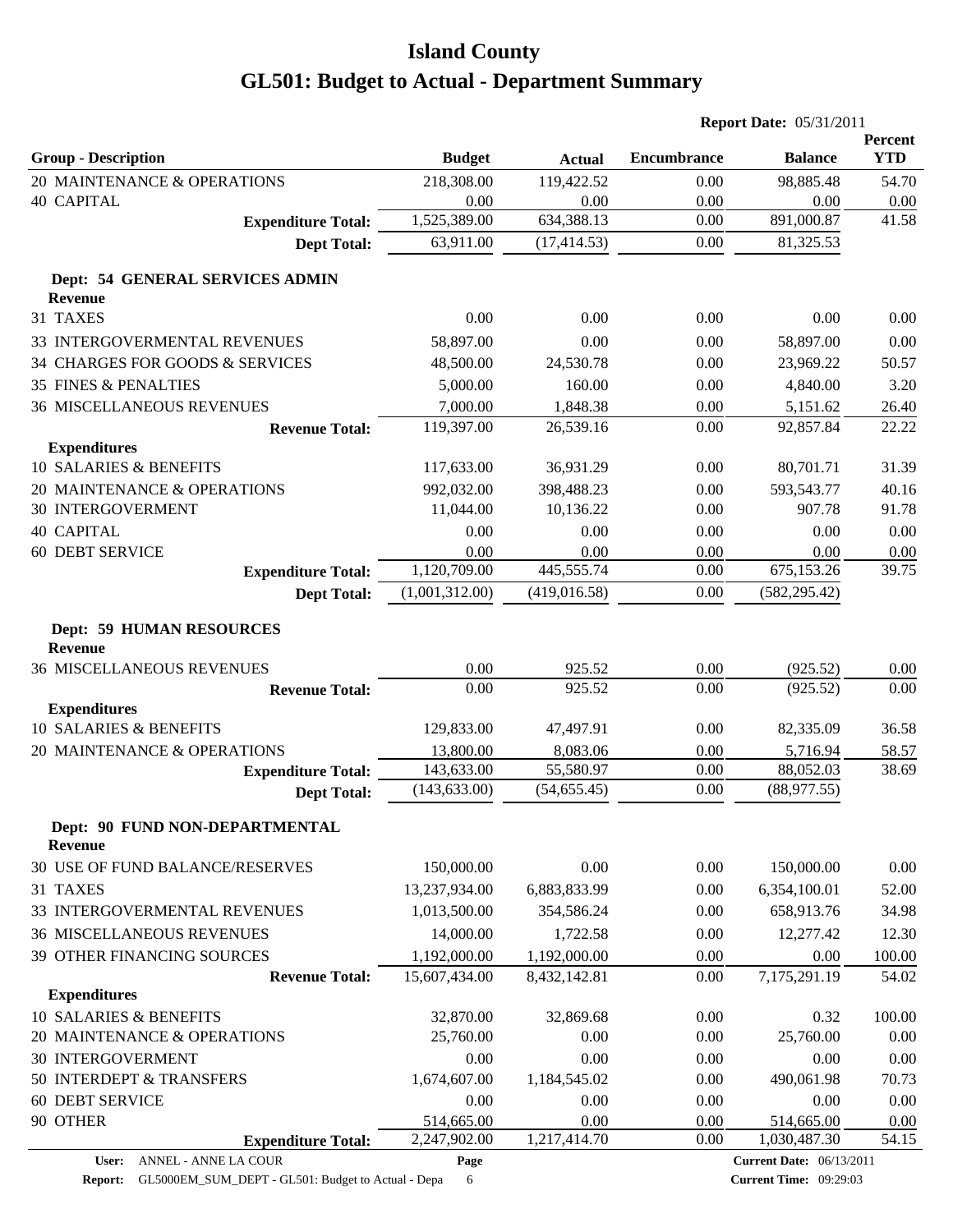|                                                            |                |               |                    | <b>Report Date: 05/31/2011</b>                  |                       |  |
|------------------------------------------------------------|----------------|---------------|--------------------|-------------------------------------------------|-----------------------|--|
| <b>Group - Description</b>                                 | <b>Budget</b>  | <b>Actual</b> | <b>Encumbrance</b> | <b>Balance</b>                                  | Percent<br><b>YTD</b> |  |
| 20 MAINTENANCE & OPERATIONS                                | 218,308.00     | 119,422.52    | 0.00               | 98,885.48                                       | 54.70                 |  |
| <b>40 CAPITAL</b>                                          | 0.00           | 0.00          | 0.00               | 0.00                                            | 0.00                  |  |
| <b>Expenditure Total:</b>                                  | 1,525,389.00   | 634,388.13    | 0.00               | 891,000.87                                      | 41.58                 |  |
| <b>Dept Total:</b>                                         | 63,911.00      | (17, 414.53)  | 0.00               | 81,325.53                                       |                       |  |
| Dept: 54 GENERAL SERVICES ADMIN<br><b>Revenue</b>          |                |               |                    |                                                 |                       |  |
| 31 TAXES                                                   | 0.00           | 0.00          | 0.00               | 0.00                                            | 0.00                  |  |
| 33 INTERGOVERMENTAL REVENUES                               | 58,897.00      | 0.00          | 0.00               | 58,897.00                                       | 0.00                  |  |
| 34 CHARGES FOR GOODS & SERVICES                            | 48,500.00      | 24,530.78     | 0.00               | 23,969.22                                       | 50.57                 |  |
| <b>35 FINES &amp; PENALTIES</b>                            | 5,000.00       | 160.00        | 0.00               | 4,840.00                                        | 3.20                  |  |
| <b>36 MISCELLANEOUS REVENUES</b>                           | 7,000.00       | 1,848.38      | 0.00               | 5,151.62                                        | 26.40                 |  |
| <b>Revenue Total:</b>                                      | 119,397.00     | 26,539.16     | 0.00               | 92,857.84                                       | 22.22                 |  |
| <b>Expenditures</b>                                        |                |               |                    |                                                 |                       |  |
| 10 SALARIES & BENEFITS                                     | 117,633.00     | 36,931.29     | 0.00               | 80,701.71                                       | 31.39                 |  |
| 20 MAINTENANCE & OPERATIONS                                | 992,032.00     | 398,488.23    | 0.00               | 593,543.77                                      | 40.16                 |  |
| <b>30 INTERGOVERMENT</b>                                   | 11,044.00      | 10,136.22     | 0.00               | 907.78                                          | 91.78                 |  |
| <b>40 CAPITAL</b>                                          | 0.00           | 0.00          | 0.00               | 0.00                                            | 0.00                  |  |
| <b>60 DEBT SERVICE</b>                                     | 0.00           | 0.00          | 0.00               | 0.00                                            | 0.00                  |  |
| <b>Expenditure Total:</b>                                  | 1,120,709.00   | 445,555.74    | 0.00               | 675,153.26                                      | 39.75                 |  |
| <b>Dept Total:</b>                                         | (1,001,312.00) | (419, 016.58) | 0.00               | (582, 295.42)                                   |                       |  |
| <b>Dept: 59 HUMAN RESOURCES</b><br><b>Revenue</b>          |                |               |                    |                                                 |                       |  |
| <b>36 MISCELLANEOUS REVENUES</b>                           | 0.00           | 925.52        | 0.00               | (925.52)                                        | 0.00                  |  |
| <b>Revenue Total:</b>                                      | 0.00           | 925.52        | 0.00               | (925.52)                                        | 0.00                  |  |
| <b>Expenditures</b>                                        |                |               |                    |                                                 |                       |  |
| 10 SALARIES & BENEFITS                                     | 129,833.00     | 47,497.91     | 0.00               | 82,335.09                                       | 36.58                 |  |
| 20 MAINTENANCE & OPERATIONS                                | 13,800.00      | 8,083.06      | 0.00               | 5,716.94                                        | 58.57                 |  |
| <b>Expenditure Total:</b>                                  | 143,633.00     | 55,580.97     | 0.00               | 88,052.03                                       | 38.69                 |  |
| <b>Dept Total:</b>                                         | (143, 633.00)  | (54, 655.45)  | 0.00               | (88, 977.55)                                    |                       |  |
| Dept: 90 FUND NON-DEPARTMENTAL<br><b>Revenue</b>           |                |               |                    |                                                 |                       |  |
| 30 USE OF FUND BALANCE/RESERVES                            | 150,000.00     | 0.00          | 0.00               | 150,000.00                                      | 0.00                  |  |
| 31 TAXES                                                   | 13,237,934.00  | 6,883,833.99  | 0.00               | 6,354,100.01                                    | 52.00                 |  |
| 33 INTERGOVERMENTAL REVENUES                               | 1,013,500.00   | 354,586.24    | 0.00               | 658,913.76                                      | 34.98                 |  |
| <b>36 MISCELLANEOUS REVENUES</b>                           | 14,000.00      | 1,722.58      | 0.00               | 12,277.42                                       | 12.30                 |  |
| 39 OTHER FINANCING SOURCES                                 | 1,192,000.00   | 1,192,000.00  | 0.00               | 0.00                                            | 100.00                |  |
| <b>Revenue Total:</b>                                      | 15,607,434.00  | 8,432,142.81  | 0.00               | 7,175,291.19                                    | 54.02                 |  |
| <b>Expenditures</b>                                        |                |               |                    |                                                 |                       |  |
| 10 SALARIES & BENEFITS                                     | 32,870.00      | 32,869.68     | 0.00               | 0.32                                            | 100.00                |  |
| 20 MAINTENANCE & OPERATIONS                                | 25,760.00      | 0.00          | 0.00               | 25,760.00                                       | 0.00                  |  |
| <b>30 INTERGOVERMENT</b>                                   | 0.00           | 0.00          | 0.00               | 0.00                                            | 0.00                  |  |
| 50 INTERDEPT & TRANSFERS                                   | 1,674,607.00   | 1,184,545.02  | 0.00               | 490,061.98                                      | 70.73                 |  |
| 60 DEBT SERVICE                                            | 0.00           | 0.00          | 0.00               | 0.00                                            | 0.00                  |  |
| 90 OTHER                                                   | 514,665.00     | 0.00          | 0.00               | 514,665.00                                      | 0.00                  |  |
| <b>Expenditure Total:</b><br>ANNEL - ANNE LA COUR<br>User: | 2,247,902.00   | 1,217,414.70  | $0.00\,$           | 1,030,487.30<br><b>Current Date: 06/13/2011</b> | 54.15                 |  |
|                                                            | Page           |               |                    |                                                 |                       |  |

Report: GL5000EM\_SUM\_DEPT - GL501: Budget to Actual - Depa 6

**Current Date:** 06/13/2011 **Current Time:** 09:29:03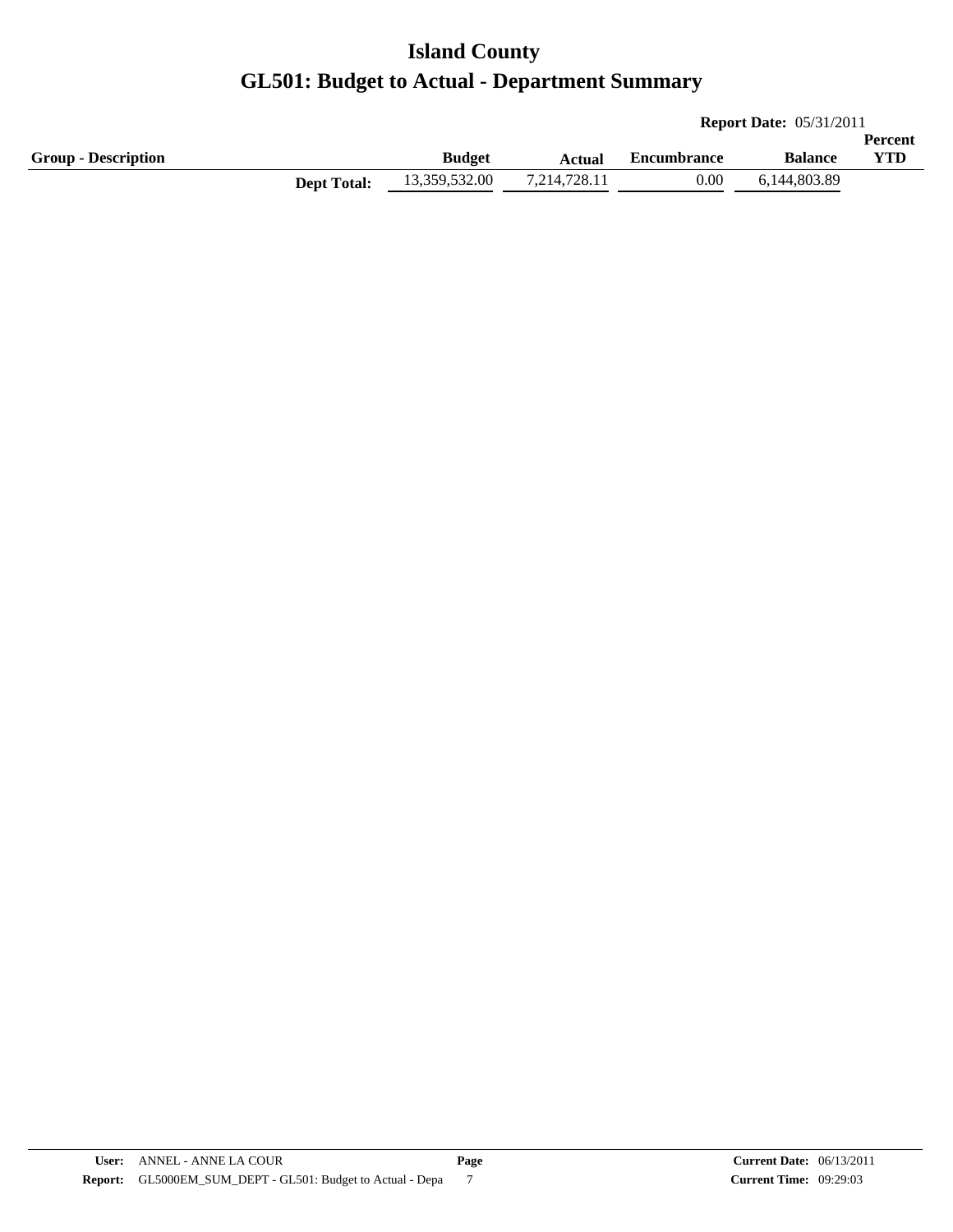|                            |                    |               |              |                    | <b>Report Date: 05/31/2011</b> |                |  |  |
|----------------------------|--------------------|---------------|--------------|--------------------|--------------------------------|----------------|--|--|
|                            |                    |               |              |                    |                                | <b>Percent</b> |  |  |
| <b>Group - Description</b> |                    | <b>Budget</b> | Actual       | <b>Encumbrance</b> | <b>Balance</b>                 | YTD            |  |  |
|                            | <b>Dept Total:</b> | 13,359,532.00 | 7,214,728.11 | $0.00\,$           | 6.144.803.89                   |                |  |  |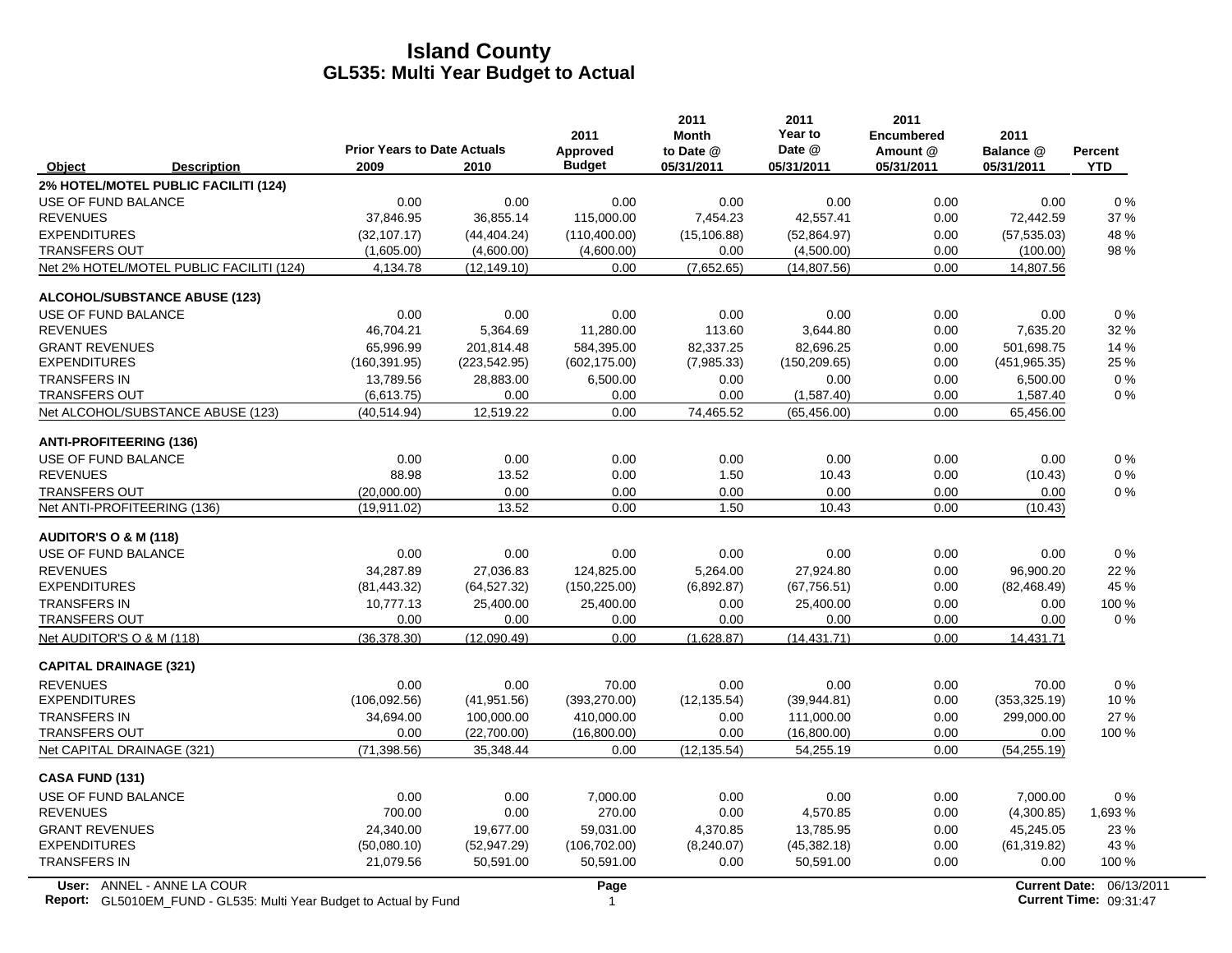|                                                                                                  | <b>Prior Years to Date Actuals</b> |               | 2011<br>Approved | 2011<br><b>Month</b><br>to Date @ | 2011<br>Year to<br>Date @ | 2011<br><b>Encumbered</b><br>Amount @ | 2011<br>Balance @ | <b>Percent</b>                                     |
|--------------------------------------------------------------------------------------------------|------------------------------------|---------------|------------------|-----------------------------------|---------------------------|---------------------------------------|-------------------|----------------------------------------------------|
| Object<br><b>Description</b>                                                                     | 2009                               | 2010          | <b>Budget</b>    | 05/31/2011                        | 05/31/2011                | 05/31/2011                            | 05/31/2011        | <b>YTD</b>                                         |
| 2% HOTEL/MOTEL PUBLIC FACILITI (124)                                                             |                                    |               |                  |                                   |                           |                                       |                   |                                                    |
| USE OF FUND BALANCE                                                                              | 0.00                               | 0.00          | 0.00             | 0.00                              | 0.00                      | 0.00                                  | 0.00              | 0%                                                 |
| <b>REVENUES</b>                                                                                  | 37,846.95                          | 36,855.14     | 115,000.00       | 7,454.23                          | 42,557.41                 | 0.00                                  | 72,442.59         | 37 %                                               |
| <b>EXPENDITURES</b>                                                                              | (32, 107.17)                       | (44, 404.24)  | (110,400.00)     | (15, 106.88)                      | (52,864.97)               | 0.00                                  | (57, 535.03)      | 48 %                                               |
| <b>TRANSFERS OUT</b>                                                                             | (1,605.00)                         | (4,600.00)    | (4,600.00)       | 0.00                              | (4,500.00)                | 0.00                                  | (100.00)          | 98 %                                               |
| Net 2% HOTEL/MOTEL PUBLIC FACILITI (124)                                                         | 4,134.78                           | (12, 149.10)  | 0.00             | (7,652.65)                        | (14, 807.56)              | 0.00                                  | 14,807.56         |                                                    |
| <b>ALCOHOL/SUBSTANCE ABUSE (123)</b>                                                             |                                    |               |                  |                                   |                           |                                       |                   |                                                    |
| USE OF FUND BALANCE                                                                              | 0.00                               | 0.00          | 0.00             | 0.00                              | 0.00                      | 0.00                                  | 0.00              | 0%                                                 |
| <b>REVENUES</b>                                                                                  | 46,704.21                          | 5,364.69      | 11,280.00        | 113.60                            | 3,644.80                  | 0.00                                  | 7,635.20          | 32 %                                               |
| <b>GRANT REVENUES</b>                                                                            | 65,996.99                          | 201,814.48    | 584,395.00       | 82,337.25                         | 82,696.25                 | 0.00                                  | 501,698.75        | 14 %                                               |
| <b>EXPENDITURES</b>                                                                              | (160, 391.95)                      | (223, 542.95) | (602, 175.00)    | (7,985.33)                        | (150, 209.65)             | 0.00                                  | (451, 965.35)     | 25 %                                               |
| <b>TRANSFERS IN</b>                                                                              | 13,789.56                          | 28,883.00     | 6,500.00         | 0.00                              | 0.00                      | 0.00                                  | 6,500.00          | $0\%$                                              |
| <b>TRANSFERS OUT</b>                                                                             | (6,613.75)                         | 0.00          | 0.00             | 0.00                              | (1,587.40)                | 0.00                                  | 1,587.40          | $0\%$                                              |
| Net ALCOHOL/SUBSTANCE ABUSE (123)                                                                | (40.514.94)                        | 12,519.22     | 0.00             | 74,465.52                         | (65, 456.00)              | 0.00                                  | 65,456.00         |                                                    |
| <b>ANTI-PROFITEERING (136)</b>                                                                   |                                    |               |                  |                                   |                           |                                       |                   |                                                    |
| USE OF FUND BALANCE                                                                              | 0.00                               | 0.00          | 0.00             | 0.00                              | 0.00                      | 0.00                                  | 0.00              | 0%                                                 |
| <b>REVENUES</b>                                                                                  | 88.98                              | 13.52         | 0.00             | 1.50                              | 10.43                     | 0.00                                  | (10.43)           | 0%                                                 |
| <b>TRANSFERS OUT</b>                                                                             | (20,000.00)                        | 0.00          | 0.00             | 0.00                              | 0.00                      | 0.00                                  | 0.00              | $0\%$                                              |
| Net ANTI-PROFITEERING (136)                                                                      | (19, 911.02)                       | 13.52         | 0.00             | 1.50                              | 10.43                     | 0.00                                  | (10.43)           |                                                    |
| <b>AUDITOR'S O &amp; M (118)</b>                                                                 |                                    |               |                  |                                   |                           |                                       |                   |                                                    |
| USE OF FUND BALANCE                                                                              | 0.00                               | 0.00          | 0.00             | 0.00                              | 0.00                      | 0.00                                  | 0.00              | $0\%$                                              |
| <b>REVENUES</b>                                                                                  | 34,287.89                          | 27,036.83     | 124,825.00       | 5,264.00                          | 27,924.80                 | 0.00                                  | 96,900.20         | 22 %                                               |
| <b>EXPENDITURES</b>                                                                              | (81, 443.32)                       | (64, 527.32)  | (150, 225.00)    | (6,892.87)                        | (67, 756.51)              | 0.00                                  | (82, 468.49)      | 45 %                                               |
| <b>TRANSFERS IN</b>                                                                              | 10,777.13                          | 25,400.00     | 25,400.00        | 0.00                              | 25,400.00                 | 0.00                                  | 0.00              | 100 %                                              |
| <b>TRANSFERS OUT</b>                                                                             | 0.00                               | 0.00          | 0.00             | 0.00                              | 0.00                      | 0.00                                  | 0.00              | $0\%$                                              |
| Net AUDITOR'S O & M (118)                                                                        | (36,378.30)                        | (12,090.49)   | 0.00             | (1,628.87)                        | (14, 431.71)              | 0.00                                  | 14,431.71         |                                                    |
| <b>CAPITAL DRAINAGE (321)</b>                                                                    |                                    |               |                  |                                   |                           |                                       |                   |                                                    |
| <b>REVENUES</b>                                                                                  | 0.00                               | 0.00          | 70.00            | 0.00                              | 0.00                      | 0.00                                  | 70.00             | 0%                                                 |
| <b>EXPENDITURES</b>                                                                              | (106, 092.56)                      | (41, 951.56)  | (393, 270.00)    | (12, 135.54)                      | (39, 944.81)              | 0.00                                  | (353, 325.19)     | 10%                                                |
| <b>TRANSFERS IN</b>                                                                              | 34,694.00                          | 100,000.00    | 410,000.00       | 0.00                              | 111,000.00                | 0.00                                  | 299,000.00        | 27 %                                               |
| <b>TRANSFERS OUT</b>                                                                             | 0.00                               | (22,700.00)   | (16,800.00)      | 0.00                              | (16,800.00)               | 0.00                                  | 0.00              | 100 %                                              |
| Net CAPITAL DRAINAGE (321)                                                                       | (71, 398.56)                       | 35,348.44     | 0.00             | (12, 135.54)                      | 54,255.19                 | 0.00                                  | (54, 255.19)      |                                                    |
| <b>CASA FUND (131)</b>                                                                           |                                    |               |                  |                                   |                           |                                       |                   |                                                    |
| USE OF FUND BALANCE                                                                              | 0.00                               | 0.00          | 7,000.00         | 0.00                              | 0.00                      | 0.00                                  | 7,000.00          | 0%                                                 |
| <b>REVENUES</b>                                                                                  | 700.00                             | 0.00          | 270.00           | 0.00                              | 4,570.85                  | 0.00                                  | (4,300.85)        | 1,693 %                                            |
| <b>GRANT REVENUES</b>                                                                            | 24,340.00                          | 19,677.00     | 59,031.00        | 4,370.85                          | 13,785.95                 | 0.00                                  | 45,245.05         | 23 %                                               |
| <b>EXPENDITURES</b>                                                                              | (50,080.10)                        | (52, 947.29)  | (106, 702.00)    | (8,240.07)                        | (45, 382.18)              | 0.00                                  | (61, 319.82)      | 43 %                                               |
| <b>TRANSFERS IN</b>                                                                              | 21,079.56                          | 50,591.00     | 50,591.00        | 0.00                              | 50,591.00                 | 0.00                                  | 0.00              | 100 %                                              |
| User: ANNEL - ANNE LA COUR<br>Report: GL5010EM_FUND - GL535: Multi Year Budget to Actual by Fund |                                    |               | Page<br>1        |                                   |                           |                                       |                   | Current Date: 06/13/2011<br>Current Time: 09:31:47 |

**Report:** GL5010EM\_FUND - GL535: Multi Year Budget to Actual by Fund 09:31:47 **1 1 2.03:01 1 2.03:01:47 1 2.03:01:47 1 2.0**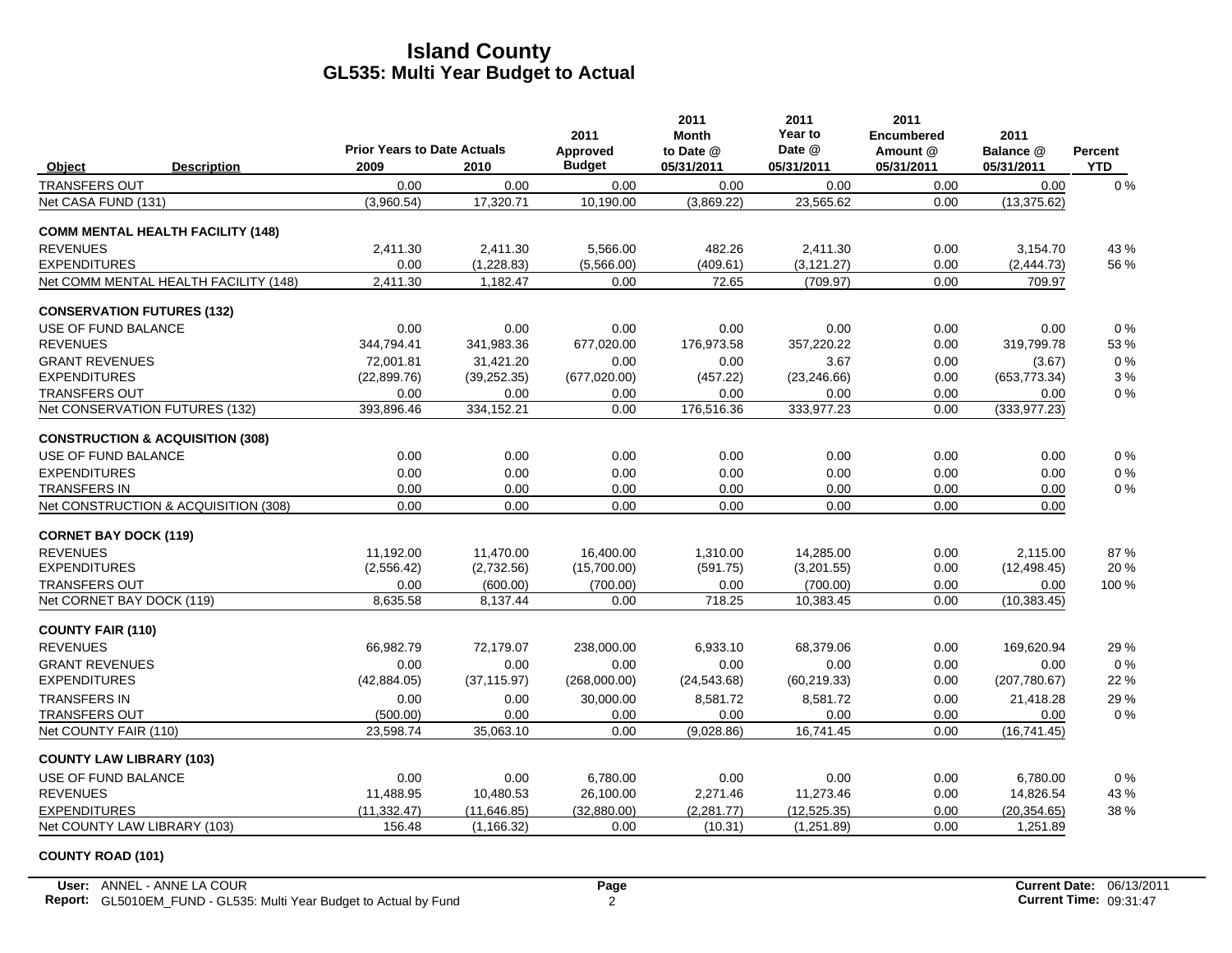|                                 |                                             |                                            |              | 2011                      | 2011<br>Month           | 2011<br>Year to      | 2011<br><b>Encumbered</b> | 2011                    |                              |
|---------------------------------|---------------------------------------------|--------------------------------------------|--------------|---------------------------|-------------------------|----------------------|---------------------------|-------------------------|------------------------------|
| Object                          | <b>Description</b>                          | <b>Prior Years to Date Actuals</b><br>2009 | 2010         | Approved<br><b>Budget</b> | to Date @<br>05/31/2011 | Date @<br>05/31/2011 | Amount @<br>05/31/2011    | Balance @<br>05/31/2011 | <b>Percent</b><br><b>YTD</b> |
| <b>TRANSFERS OUT</b>            |                                             | 0.00                                       | 0.00         | 0.00                      | 0.00                    | 0.00                 | 0.00                      | 0.00                    | $0\%$                        |
| Net CASA FUND (131)             |                                             | (3,960.54)                                 | 17,320.71    | 10,190.00                 | (3,869.22)              | 23,565.62            | 0.00                      | (13, 375.62)            |                              |
|                                 | <b>COMM MENTAL HEALTH FACILITY (148)</b>    |                                            |              |                           |                         |                      |                           |                         |                              |
| <b>REVENUES</b>                 |                                             | 2.411.30                                   | 2.411.30     | 5,566.00                  | 482.26                  | 2.411.30             | 0.00                      | 3.154.70                | 43 %                         |
| <b>EXPENDITURES</b>             |                                             | 0.00                                       | (1,228.83)   | (5,566.00)                | (409.61)                | (3, 121.27)          | 0.00                      | (2,444.73)              | 56 %                         |
|                                 | Net COMM MENTAL HEALTH FACILITY (148)       | 2,411.30                                   | 1,182.47     | 0.00                      | 72.65                   | (709.97)             | 0.00                      | 709.97                  |                              |
|                                 | <b>CONSERVATION FUTURES (132)</b>           |                                            |              |                           |                         |                      |                           |                         |                              |
| USE OF FUND BALANCE             |                                             | 0.00                                       | 0.00         | 0.00                      | 0.00                    | 0.00                 | 0.00                      | 0.00                    | 0%                           |
| <b>REVENUES</b>                 |                                             | 344,794.41                                 | 341,983.36   | 677,020.00                | 176,973.58              | 357,220.22           | 0.00                      | 319,799.78              | 53 %                         |
| <b>GRANT REVENUES</b>           |                                             | 72.001.81                                  | 31,421.20    | 0.00                      | 0.00                    | 3.67                 | 0.00                      | (3.67)                  | 0%                           |
| <b>EXPENDITURES</b>             |                                             | (22,899.76)                                | (39, 252.35) | (677, 020.00)             | (457.22)                | (23, 246.66)         | 0.00                      | (653, 773.34)           | 3%                           |
| <b>TRANSFERS OUT</b>            |                                             | 0.00                                       | 0.00         | 0.00                      | 0.00                    | 0.00                 | 0.00                      | 0.00                    | 0%                           |
|                                 | Net CONSERVATION FUTURES (132)              | 393,896.46                                 | 334,152.21   | 0.00                      | 176,516.36              | 333,977.23           | 0.00                      | (333, 977.23)           |                              |
|                                 | <b>CONSTRUCTION &amp; ACQUISITION (308)</b> |                                            |              |                           |                         |                      |                           |                         |                              |
| USE OF FUND BALANCE             |                                             | 0.00                                       | 0.00         | 0.00                      | 0.00                    | 0.00                 | 0.00                      | 0.00                    | 0%                           |
| <b>EXPENDITURES</b>             |                                             | 0.00                                       | 0.00         | 0.00                      | 0.00                    | 0.00                 | 0.00                      | 0.00                    | 0%                           |
| <b>TRANSFERS IN</b>             |                                             | 0.00                                       | 0.00         | 0.00                      | 0.00                    | 0.00                 | 0.00                      | 0.00                    | $0\%$                        |
|                                 | Net CONSTRUCTION & ACQUISITION (308)        | 0.00                                       | 0.00         | 0.00                      | 0.00                    | 0.00                 | 0.00                      | 0.00                    |                              |
| <b>CORNET BAY DOCK (119)</b>    |                                             |                                            |              |                           |                         |                      |                           |                         |                              |
| <b>REVENUES</b>                 |                                             | 11,192.00                                  | 11,470.00    | 16,400.00                 | 1,310.00                | 14,285.00            | 0.00                      | 2.115.00                | 87%                          |
| <b>EXPENDITURES</b>             |                                             | (2, 556.42)                                | (2,732.56)   | (15,700.00)               | (591.75)                | (3,201.55)           | 0.00                      | (12, 498.45)            | 20%                          |
| <b>TRANSFERS OUT</b>            |                                             | 0.00                                       | (600.00)     | (700.00)                  | 0.00                    | (700.00)             | 0.00                      | 0.00                    | 100 %                        |
| Net CORNET BAY DOCK (119)       |                                             | 8,635.58                                   | 8,137.44     | 0.00                      | 718.25                  | 10,383.45            | 0.00                      | (10, 383.45)            |                              |
| <b>COUNTY FAIR (110)</b>        |                                             |                                            |              |                           |                         |                      |                           |                         |                              |
| <b>REVENUES</b>                 |                                             | 66,982.79                                  | 72,179.07    | 238,000.00                | 6,933.10                | 68,379.06            | 0.00                      | 169,620.94              | 29 %                         |
| <b>GRANT REVENUES</b>           |                                             | 0.00                                       | 0.00         | 0.00                      | 0.00                    | 0.00                 | 0.00                      | 0.00                    | 0%                           |
| <b>EXPENDITURES</b>             |                                             | (42, 884.05)                               | (37, 115.97) | (268,000.00)              | (24, 543.68)            | (60, 219.33)         | 0.00                      | (207,780.67)            | 22 %                         |
| <b>TRANSFERS IN</b>             |                                             | 0.00                                       | 0.00         | 30,000.00                 | 8,581.72                | 8,581.72             | 0.00                      | 21,418.28               | 29 %                         |
| <b>TRANSFERS OUT</b>            |                                             | (500.00)                                   | 0.00         | 0.00                      | 0.00                    | 0.00                 | 0.00                      | 0.00                    | 0%                           |
| Net COUNTY FAIR (110)           |                                             | 23,598.74                                  | 35,063.10    | 0.00                      | (9,028.86)              | 16,741.45            | 0.00                      | (16, 741.45)            |                              |
| <b>COUNTY LAW LIBRARY (103)</b> |                                             |                                            |              |                           |                         |                      |                           |                         |                              |
| <b>USE OF FUND BALANCE</b>      |                                             | 0.00                                       | 0.00         | 6,780.00                  | 0.00                    | 0.00                 | 0.00                      | 6,780.00                | 0%                           |
| <b>REVENUES</b>                 |                                             | 11,488.95                                  | 10,480.53    | 26,100.00                 | 2,271.46                | 11,273.46            | 0.00                      | 14,826.54               | 43 %                         |
| <b>EXPENDITURES</b>             |                                             | (11.332.47)                                | (11, 646.85) | (32.880.00)               | (2.281.77)              | (12, 525.35)         | 0.00                      | (20, 354.65)            | 38 %                         |
|                                 | Net COUNTY LAW LIBRARY (103)                | 156.48                                     | (1, 166.32)  | 0.00                      | (10.31)                 | (1,251.89)           | 0.00                      | 1,251.89                |                              |

### **COUNTY ROAD (101)**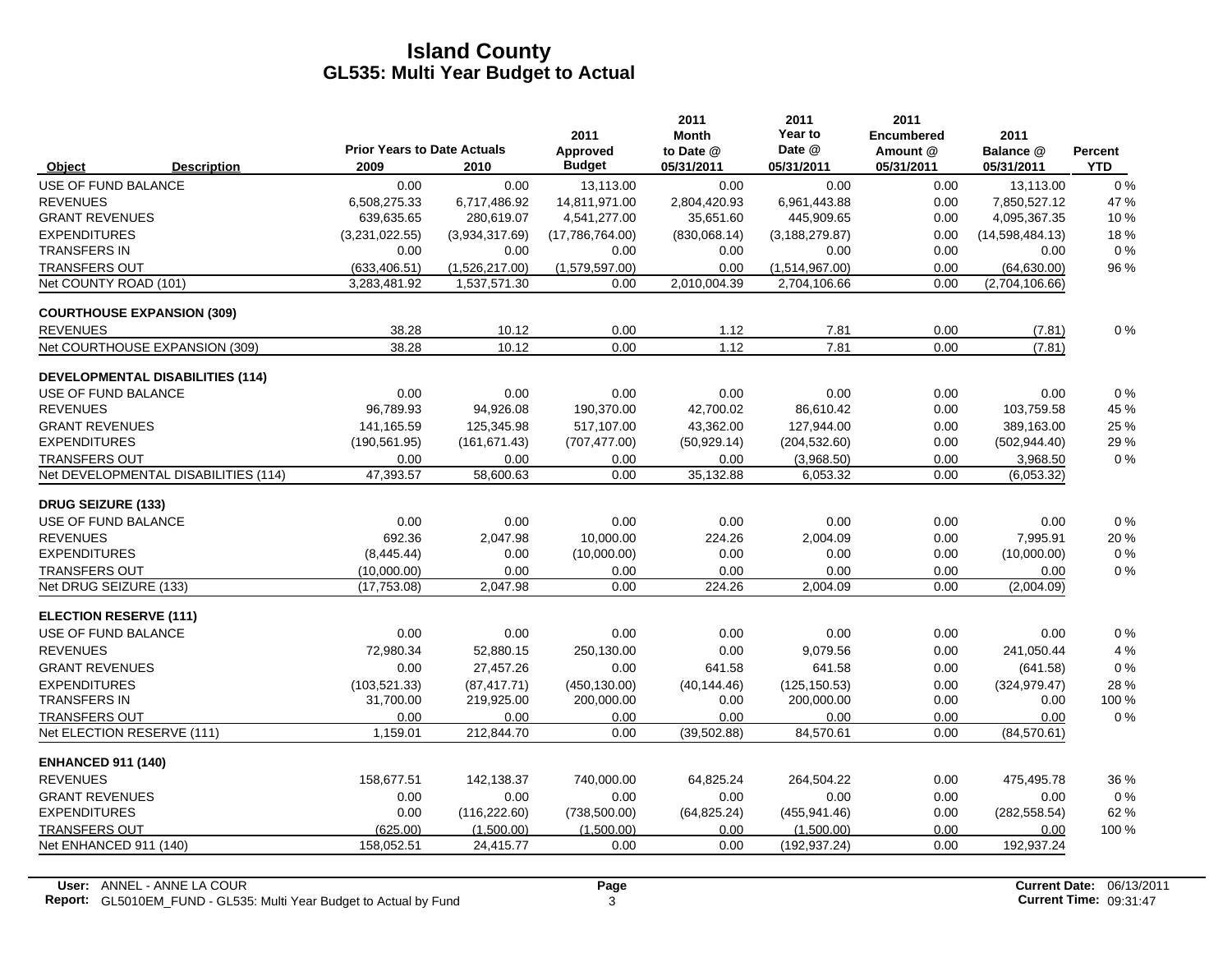|                                   |                                         |                                            |                | 2011                      | 2011<br><b>Month</b>    | 2011<br>Year to      | 2011<br><b>Encumbered</b> | 2011                    |                       |
|-----------------------------------|-----------------------------------------|--------------------------------------------|----------------|---------------------------|-------------------------|----------------------|---------------------------|-------------------------|-----------------------|
| Object                            | <b>Description</b>                      | <b>Prior Years to Date Actuals</b><br>2009 | 2010           | Approved<br><b>Budget</b> | to Date @<br>05/31/2011 | Date @<br>05/31/2011 | Amount @<br>05/31/2011    | Balance @<br>05/31/2011 | Percent<br><b>YTD</b> |
| USE OF FUND BALANCE               |                                         | 0.00                                       | 0.00           | 13,113.00                 | 0.00                    | 0.00                 | 0.00                      | 13,113.00               | 0%                    |
| <b>REVENUES</b>                   |                                         | 6,508,275.33                               | 6,717,486.92   | 14,811,971.00             | 2,804,420.93            | 6,961,443.88         | 0.00                      | 7,850,527.12            | 47 %                  |
| <b>GRANT REVENUES</b>             |                                         | 639,635.65                                 | 280,619.07     | 4,541,277.00              | 35,651.60               | 445,909.65           | 0.00                      | 4,095,367.35            | 10%                   |
| <b>EXPENDITURES</b>               |                                         | (3,231,022.55)                             | (3,934,317.69) | (17,786,764.00)           | (830,068.14)            | (3, 188, 279.87)     | 0.00                      | (14,598,484.13)         | 18%                   |
| <b>TRANSFERS IN</b>               |                                         | 0.00                                       | 0.00           | 0.00                      | 0.00                    | 0.00                 | 0.00                      | 0.00                    | $0\%$                 |
| <b>TRANSFERS OUT</b>              |                                         | (633, 406.51)                              | (1,526,217.00) | (1,579,597.00)            | 0.00                    | (1,514,967.00)       | 0.00                      | (64, 630.00)            | 96 %                  |
| Net COUNTY ROAD (101)             |                                         | 3,283,481.92                               | 1,537,571.30   | 0.00                      | 2.010.004.39            | 2,704,106.66         | 0.00                      | (2,704,106.66)          |                       |
| <b>COURTHOUSE EXPANSION (309)</b> |                                         |                                            |                |                           |                         |                      |                           |                         |                       |
| <b>REVENUES</b>                   |                                         | 38.28                                      | 10.12          | 0.00                      | 1.12                    | 7.81                 | 0.00                      | (7.81)                  | $0\%$                 |
|                                   | Net COURTHOUSE EXPANSION (309)          | 38.28                                      | 10.12          | 0.00                      | 1.12                    | 7.81                 | 0.00                      | (7.81)                  |                       |
|                                   | <b>DEVELOPMENTAL DISABILITIES (114)</b> |                                            |                |                           |                         |                      |                           |                         |                       |
| USE OF FUND BALANCE               |                                         | 0.00                                       | 0.00           | 0.00                      | 0.00                    | 0.00                 | 0.00                      | 0.00                    | 0%                    |
| <b>REVENUES</b>                   |                                         | 96,789.93                                  | 94,926.08      | 190,370.00                | 42,700.02               | 86,610.42            | 0.00                      | 103,759.58              | 45 %                  |
| <b>GRANT REVENUES</b>             |                                         | 141.165.59                                 | 125,345.98     | 517,107.00                | 43.362.00               | 127,944.00           | 0.00                      | 389.163.00              | 25 %                  |
| <b>EXPENDITURES</b>               |                                         | (190, 561.95)                              | (161, 671.43)  | (707, 477.00)             | (50, 929.14)            | (204, 532.60)        | 0.00                      | (502, 944.40)           | 29 %                  |
| <b>TRANSFERS OUT</b>              |                                         | 0.00                                       | 0.00           | 0.00                      | 0.00                    | (3,968.50)           | 0.00                      | 3,968.50                | 0%                    |
|                                   | Net DEVELOPMENTAL DISABILITIES (114)    | 47,393.57                                  | 58,600.63      | 0.00                      | 35,132.88               | 6,053.32             | 0.00                      | (6,053.32)              |                       |
| <b>DRUG SEIZURE (133)</b>         |                                         |                                            |                |                           |                         |                      |                           |                         |                       |
| USE OF FUND BALANCE               |                                         | 0.00                                       | 0.00           | 0.00                      | 0.00                    | 0.00                 | 0.00                      | 0.00                    | 0%                    |
| <b>REVENUES</b>                   |                                         | 692.36                                     | 2,047.98       | 10,000.00                 | 224.26                  | 2,004.09             | 0.00                      | 7,995.91                | 20%                   |
| <b>EXPENDITURES</b>               |                                         | (8,445.44)                                 | 0.00           | (10,000.00)               | 0.00                    | 0.00                 | 0.00                      | (10,000.00)             | $0\%$                 |
| <b>TRANSFERS OUT</b>              |                                         | (10,000.00)                                | 0.00           | 0.00                      | 0.00                    | 0.00                 | 0.00                      | 0.00                    | $0\%$                 |
| Net DRUG SEIZURE (133)            |                                         | (17, 753.08)                               | 2.047.98       | 0.00                      | 224.26                  | 2.004.09             | 0.00                      | (2,004.09)              |                       |
| <b>ELECTION RESERVE (111)</b>     |                                         |                                            |                |                           |                         |                      |                           |                         |                       |
| USE OF FUND BALANCE               |                                         | 0.00                                       | 0.00           | 0.00                      | 0.00                    | 0.00                 | 0.00                      | 0.00                    | 0%                    |
| <b>REVENUES</b>                   |                                         | 72,980.34                                  | 52,880.15      | 250,130.00                | 0.00                    | 9,079.56             | 0.00                      | 241,050.44              | 4 %                   |
| <b>GRANT REVENUES</b>             |                                         | 0.00                                       | 27,457.26      | 0.00                      | 641.58                  | 641.58               | 0.00                      | (641.58)                | $0\%$                 |
| <b>EXPENDITURES</b>               |                                         | (103, 521.33)                              | (87, 417.71)   | (450, 130.00)             | (40, 144.46)            | (125, 150.53)        | 0.00                      | (324, 979.47)           | 28 %                  |
| <b>TRANSFERS IN</b>               |                                         | 31,700.00                                  | 219,925.00     | 200,000.00                | 0.00                    | 200,000.00           | 0.00                      | 0.00                    | 100 %                 |
| <b>TRANSFERS OUT</b>              |                                         | 0.00                                       | 0.00           | 0.00                      | 0.00                    | 0.00                 | 0.00                      | 0.00                    | $0\%$                 |
| Net ELECTION RESERVE (111)        |                                         | 1,159.01                                   | 212,844.70     | 0.00                      | (39, 502.88)            | 84.570.61            | 0.00                      | (84, 570.61)            |                       |
| <b>ENHANCED 911 (140)</b>         |                                         |                                            |                |                           |                         |                      |                           |                         |                       |
| <b>REVENUES</b>                   |                                         | 158,677.51                                 | 142,138.37     | 740,000.00                | 64,825.24               | 264,504.22           | 0.00                      | 475,495.78              | 36 %                  |
| <b>GRANT REVENUES</b>             |                                         | 0.00                                       | 0.00           | 0.00                      | 0.00                    | 0.00                 | 0.00                      | 0.00                    | $0\%$                 |
| <b>EXPENDITURES</b>               |                                         | 0.00                                       | (116, 222.60)  | (738, 500.00)             | (64, 825.24)            | (455, 941.46)        | 0.00                      | (282, 558.54)           | 62 %                  |
| <b>TRANSFERS OUT</b>              |                                         | (625.00)                                   | (1,500.00)     | (1,500.00)                | 0.00                    | (1,500.00)           | 0.00                      | 0.00                    | 100 %                 |
| Net ENHANCED 911 (140)            |                                         | 158,052.51                                 | 24,415.77      | 0.00                      | 0.00                    | (192, 937.24)        | 0.00                      | 192,937.24              |                       |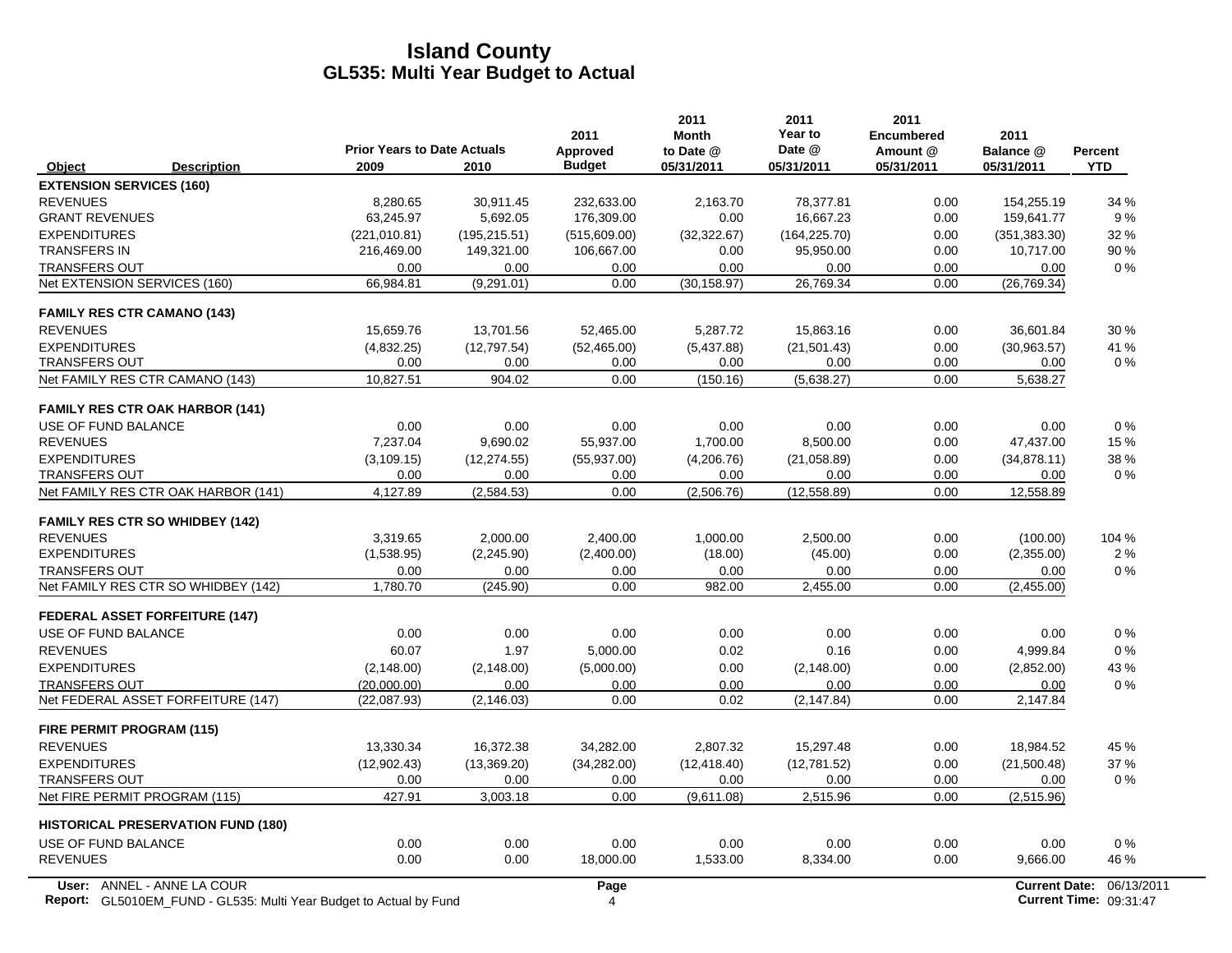|                                                                                                  | <b>Prior Years to Date Actuals</b> |               | 2011<br>Approved | 2011<br><b>Month</b><br>to Date @ | 2011<br>Year to<br>Date @ | 2011<br><b>Encumbered</b><br>Amount @ | 2011<br>Balance @    | <b>Percent</b>                       |
|--------------------------------------------------------------------------------------------------|------------------------------------|---------------|------------------|-----------------------------------|---------------------------|---------------------------------------|----------------------|--------------------------------------|
| Object<br><b>Description</b>                                                                     | 2009                               | 2010          | <b>Budget</b>    | 05/31/2011                        | 05/31/2011                | 05/31/2011                            | 05/31/2011           | <b>YTD</b>                           |
| <b>EXTENSION SERVICES (160)</b>                                                                  |                                    |               |                  |                                   |                           |                                       |                      |                                      |
| <b>REVENUES</b>                                                                                  | 8,280.65                           | 30,911.45     | 232,633.00       | 2,163.70                          | 78,377.81                 | 0.00                                  | 154,255.19           | 34 %                                 |
| <b>GRANT REVENUES</b>                                                                            | 63,245.97                          | 5,692.05      | 176,309.00       | 0.00                              | 16,667.23                 | 0.00                                  | 159,641.77           | 9%                                   |
| <b>EXPENDITURES</b>                                                                              | (221, 010.81)                      | (195, 215.51) | (515,609.00)     | (32, 322.67)                      | (164, 225.70)             | 0.00                                  | (351, 383.30)        | 32 %                                 |
| <b>TRANSFERS IN</b>                                                                              | 216,469.00                         | 149,321.00    | 106,667.00       | 0.00                              | 95,950.00                 | 0.00                                  | 10,717.00            | 90%                                  |
| <b>TRANSFERS OUT</b>                                                                             | 0.00                               | 0.00          | 0.00             | 0.00                              | 0.00                      | 0.00                                  | 0.00                 | 0%                                   |
| Net EXTENSION SERVICES (160)                                                                     | 66,984.81                          | (9, 291.01)   | 0.00             | (30, 158.97)                      | 26,769.34                 | 0.00                                  | (26, 769.34)         |                                      |
| <b>FAMILY RES CTR CAMANO (143)</b>                                                               |                                    |               |                  |                                   |                           |                                       |                      |                                      |
| <b>REVENUES</b>                                                                                  | 15,659.76                          | 13,701.56     | 52,465.00        | 5,287.72                          | 15,863.16                 | 0.00                                  | 36,601.84            | 30 %                                 |
| <b>EXPENDITURES</b>                                                                              | (4,832.25)                         | (12,797.54)   | (52, 465.00)     | (5,437.88)                        | (21, 501.43)              | 0.00                                  | (30,963.57)          | 41 %                                 |
| <b>TRANSFERS OUT</b>                                                                             | 0.00                               | 0.00          | 0.00             | 0.00                              | 0.00                      | 0.00                                  | 0.00                 | 0%                                   |
| Net FAMILY RES CTR CAMANO (143)                                                                  | 10,827.51                          | 904.02        | 0.00             | (150.16)                          | (5,638.27)                | 0.00                                  | 5,638.27             |                                      |
| <b>FAMILY RES CTR OAK HARBOR (141)</b>                                                           |                                    |               |                  |                                   |                           |                                       |                      |                                      |
| USE OF FUND BALANCE                                                                              | 0.00                               | 0.00          | 0.00             | 0.00                              | 0.00                      | 0.00                                  | 0.00                 | $0\%$                                |
| <b>REVENUES</b>                                                                                  | 7,237.04                           | 9,690.02      | 55,937.00        | 1,700.00                          | 8,500.00                  | 0.00                                  | 47,437.00            | 15 %                                 |
| <b>EXPENDITURES</b>                                                                              | (3, 109.15)                        | (12, 274.55)  | (55, 937.00)     | (4,206.76)                        | (21,058.89)               | 0.00                                  | (34, 878.11)         | 38 %                                 |
| <b>TRANSFERS OUT</b>                                                                             | 0.00                               | 0.00          | 0.00             | 0.00                              | 0.00                      | 0.00                                  | 0.00                 | $0\%$                                |
| Net FAMILY RES CTR OAK HARBOR (141)                                                              | 4,127.89                           | (2,584.53)    | 0.00             | (2,506.76)                        | (12, 558.89)              | 0.00                                  | 12,558.89            |                                      |
| <b>FAMILY RES CTR SO WHIDBEY (142)</b>                                                           |                                    |               |                  |                                   |                           |                                       |                      |                                      |
| <b>REVENUES</b>                                                                                  | 3.319.65                           | 2,000.00      | 2.400.00         | 1,000.00                          | 2.500.00                  | 0.00                                  | (100.00)             | 104 %                                |
| <b>EXPENDITURES</b>                                                                              | (1,538.95)                         | (2, 245.90)   | (2,400.00)       | (18.00)                           | (45.00)                   | 0.00                                  | (2,355.00)           | 2%                                   |
| <b>TRANSFERS OUT</b>                                                                             | 0.00                               | 0.00          | 0.00             | 0.00                              | 0.00                      | 0.00                                  | 0.00                 | $0\%$                                |
| Net FAMILY RES CTR SO WHIDBEY (142)                                                              | 1,780.70                           | (245.90)      | 0.00             | 982.00                            | 2,455.00                  | 0.00                                  | (2,455.00)           |                                      |
| <b>FEDERAL ASSET FORFEITURE (147)</b>                                                            |                                    |               |                  |                                   |                           |                                       |                      |                                      |
| USE OF FUND BALANCE                                                                              | 0.00                               | 0.00          | 0.00             | 0.00                              | 0.00                      | 0.00                                  | 0.00                 | 0%                                   |
| <b>REVENUES</b>                                                                                  | 60.07                              | 1.97          | 5,000.00         | 0.02                              | 0.16                      | 0.00                                  | 4,999.84             | $0\%$                                |
| <b>EXPENDITURES</b>                                                                              | (2, 148.00)                        | (2, 148.00)   | (5,000.00)       | 0.00                              | (2, 148.00)               | 0.00                                  | (2,852.00)           | 43 %                                 |
| <b>TRANSFERS OUT</b>                                                                             | (20,000.00)                        | 0.00          | 0.00             | 0.00                              | 0.00                      | 0.00                                  | 0.00                 | $0\%$                                |
| Net FEDERAL ASSET FORFEITURE (147)                                                               | (22,087.93)                        | (2, 146.03)   | 0.00             | 0.02                              | (2, 147.84)               | 0.00                                  | 2,147.84             |                                      |
| FIRE PERMIT PROGRAM (115)                                                                        |                                    |               |                  |                                   |                           |                                       |                      |                                      |
| <b>REVENUES</b>                                                                                  | 13,330.34                          | 16,372.38     | 34,282.00        | 2.807.32                          | 15,297.48                 | 0.00                                  | 18,984.52            | 45 %                                 |
| <b>EXPENDITURES</b>                                                                              | (12,902.43)                        | (13,369.20)   | (34, 282.00)     | (12, 418.40)                      | (12,781.52)               | 0.00                                  | (21,500.48)          | 37 %                                 |
| <b>TRANSFERS OUT</b>                                                                             | 0.00                               | 0.00          | 0.00             | 0.00                              | 0.00                      | 0.00                                  | 0.00                 | $0\%$                                |
| Net FIRE PERMIT PROGRAM (115)                                                                    | 427.91                             | 3,003.18      | 0.00             | (9,611.08)                        | 2,515.96                  | 0.00                                  | (2,515.96)           |                                      |
| <b>HISTORICAL PRESERVATION FUND (180)</b>                                                        |                                    |               |                  |                                   |                           |                                       |                      |                                      |
| USE OF FUND BALANCE                                                                              | 0.00                               | 0.00          | 0.00             | 0.00                              | 0.00                      | 0.00                                  | 0.00                 | $0\%$                                |
| <b>REVENUES</b>                                                                                  | 0.00                               | 0.00          | 18,000.00        | 1,533.00                          | 8,334.00                  | 0.00                                  | 9,666.00             | 46 %                                 |
| User: ANNEL - ANNE LA COUR<br>Report: GL5010EM_FUND - GL535: Multi Year Budget to Actual by Fund |                                    |               | Page<br>4        |                                   |                           |                                       | <b>Current Date:</b> | 06/13/2011<br>Current Time: 09:31:47 |

**Report:** GL5010EM\_FUND - GL535: Multi Year Budget to Actual by Fund 09:31:47 **4 Actual 09:31:47 Current Time:** 09:31:47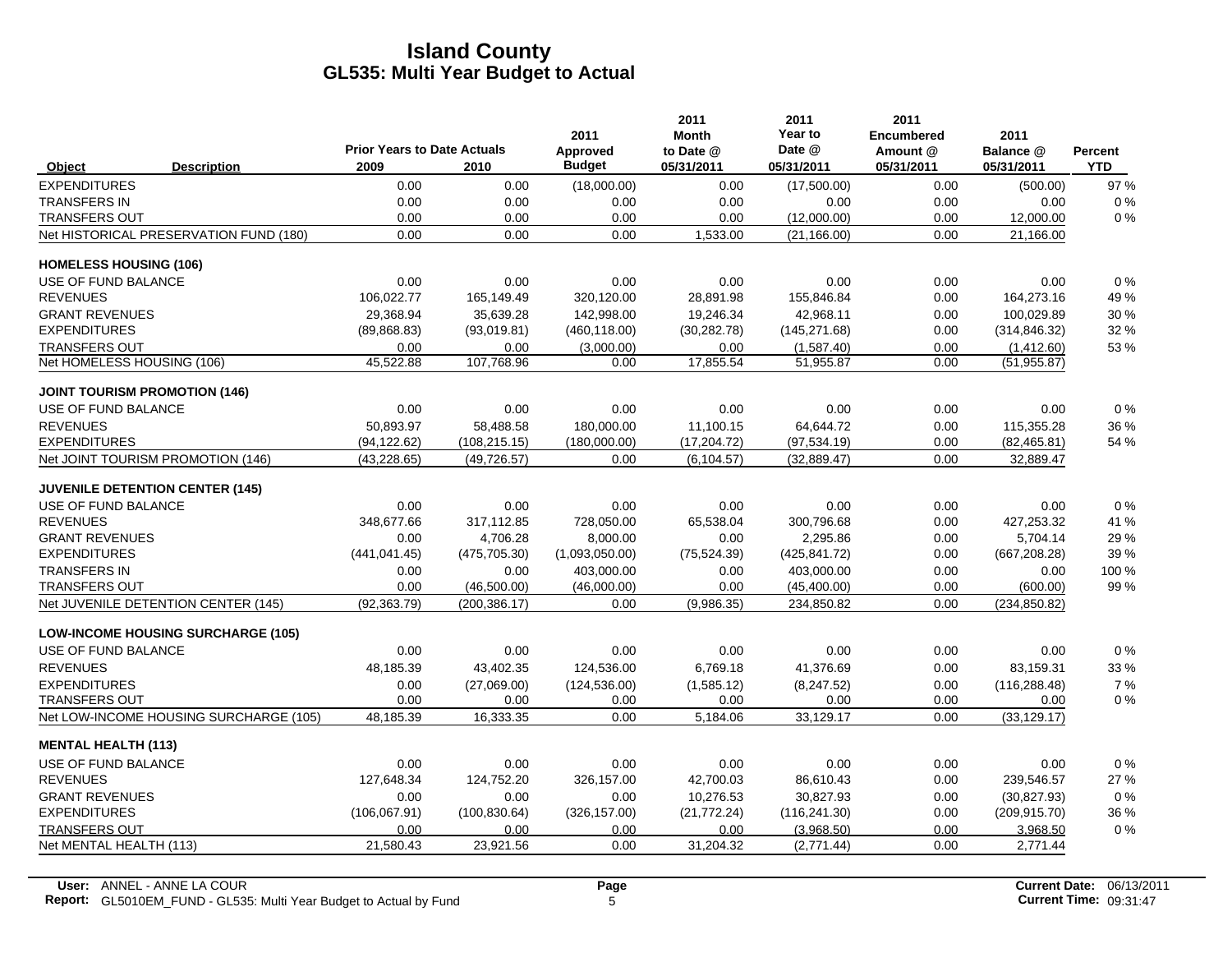|                               |                                           | <b>Prior Years to Date Actuals</b> |               | 2011<br>Approved | 2011<br><b>Month</b><br>to Date @ | 2011<br>Year to<br>Date @ | 2011<br><b>Encumbered</b><br>Amount @ | 2011<br>Balance @ | Percent    |
|-------------------------------|-------------------------------------------|------------------------------------|---------------|------------------|-----------------------------------|---------------------------|---------------------------------------|-------------------|------------|
| Object                        | <b>Description</b>                        | 2009                               | 2010          | <b>Budget</b>    | 05/31/2011                        | 05/31/2011                | 05/31/2011                            | 05/31/2011        | <b>YTD</b> |
| <b>EXPENDITURES</b>           |                                           | 0.00                               | 0.00          | (18,000.00)      | 0.00                              | (17,500.00)               | 0.00                                  | (500.00)          | 97 %       |
| <b>TRANSFERS IN</b>           |                                           | 0.00                               | 0.00          | 0.00             | 0.00                              | 0.00                      | 0.00                                  | 0.00              | $0\%$      |
| <b>TRANSFERS OUT</b>          |                                           | 0.00                               | 0.00          | 0.00             | 0.00                              | (12,000.00)               | 0.00                                  | 12,000.00         | 0%         |
|                               | Net HISTORICAL PRESERVATION FUND (180)    | 0.00                               | 0.00          | 0.00             | 1,533.00                          | (21, 166.00)              | 0.00                                  | 21,166.00         |            |
| <b>HOMELESS HOUSING (106)</b> |                                           |                                    |               |                  |                                   |                           |                                       |                   |            |
| USE OF FUND BALANCE           |                                           | 0.00                               | 0.00          | 0.00             | 0.00                              | 0.00                      | 0.00                                  | 0.00              | $0\%$      |
| <b>REVENUES</b>               |                                           | 106,022.77                         | 165,149.49    | 320,120.00       | 28,891.98                         | 155,846.84                | 0.00                                  | 164,273.16        | 49 %       |
| <b>GRANT REVENUES</b>         |                                           | 29.368.94                          | 35.639.28     | 142.998.00       | 19,246.34                         | 42,968.11                 | 0.00                                  | 100,029.89        | 30 %       |
| <b>EXPENDITURES</b>           |                                           | (89, 868.83)                       | (93,019.81)   | (460, 118.00)    | (30, 282.78)                      | (145, 271.68)             | 0.00                                  | (314, 846.32)     | 32 %       |
| <b>TRANSFERS OUT</b>          |                                           | 0.00                               | 0.00          | (3,000.00)       | 0.00                              | (1,587.40)                | 0.00                                  | (1,412.60)        | 53 %       |
| Net HOMELESS HOUSING (106)    |                                           | 45,522.88                          | 107,768.96    | 0.00             | 17,855.54                         | 51,955.87                 | 0.00                                  | (51, 955.87)      |            |
|                               | <b>JOINT TOURISM PROMOTION (146)</b>      |                                    |               |                  |                                   |                           |                                       |                   |            |
| USE OF FUND BALANCE           |                                           | 0.00                               | 0.00          | 0.00             | 0.00                              | 0.00                      | 0.00                                  | 0.00              | 0%         |
| <b>REVENUES</b>               |                                           | 50.893.97                          | 58,488.58     | 180,000.00       | 11,100.15                         | 64.644.72                 | 0.00                                  | 115,355.28        | 36 %       |
| <b>EXPENDITURES</b>           |                                           | (94, 122.62)                       | (108, 215.15) | (180,000.00)     | (17, 204.72)                      | (97, 534.19)              | 0.00                                  | (82, 465.81)      | 54 %       |
|                               | Net JOINT TOURISM PROMOTION (146)         | (43, 228.65)                       | (49, 726.57)  | 0.00             | (6, 104.57)                       | (32, 889.47)              | 0.00                                  | 32,889.47         |            |
|                               | <b>JUVENILE DETENTION CENTER (145)</b>    |                                    |               |                  |                                   |                           |                                       |                   |            |
| USE OF FUND BALANCE           |                                           | 0.00                               | 0.00          | 0.00             | 0.00                              | 0.00                      | 0.00                                  | 0.00              | $0\%$      |
| <b>REVENUES</b>               |                                           | 348,677.66                         | 317,112.85    | 728,050.00       | 65,538.04                         | 300,796.68                | 0.00                                  | 427,253.32        | 41 %       |
| <b>GRANT REVENUES</b>         |                                           | 0.00                               | 4,706.28      | 8,000.00         | 0.00                              | 2,295.86                  | 0.00                                  | 5,704.14          | 29 %       |
| <b>EXPENDITURES</b>           |                                           | (441, 041, 45)                     | (475, 705.30) | (1,093,050.00)   | (75, 524.39)                      | (425, 841.72)             | 0.00                                  | (667, 208.28)     | 39 %       |
| <b>TRANSFERS IN</b>           |                                           | 0.00                               | 0.00          | 403,000.00       | 0.00                              | 403,000.00                | 0.00                                  | 0.00              | 100 %      |
| <b>TRANSFERS OUT</b>          |                                           | 0.00                               | (46,500.00)   | (46,000.00)      | 0.00                              | (45, 400.00)              | 0.00                                  | (600.00)          | 99%        |
|                               | Net JUVENILE DETENTION CENTER (145)       | (92, 363.79)                       | (200, 386.17) | 0.00             | (9,986.35)                        | 234,850.82                | 0.00                                  | (234, 850.82)     |            |
|                               | <b>LOW-INCOME HOUSING SURCHARGE (105)</b> |                                    |               |                  |                                   |                           |                                       |                   |            |
| USE OF FUND BALANCE           |                                           | 0.00                               | 0.00          | 0.00             | 0.00                              | 0.00                      | 0.00                                  | 0.00              | 0%         |
| <b>REVENUES</b>               |                                           | 48,185.39                          | 43,402.35     | 124,536.00       | 6,769.18                          | 41,376.69                 | 0.00                                  | 83,159.31         | 33 %       |
| <b>EXPENDITURES</b>           |                                           | 0.00                               | (27,069.00)   | (124, 536.00)    | (1,585.12)                        | (8,247.52)                | 0.00                                  | (116, 288.48)     | 7%         |
| <b>TRANSFERS OUT</b>          |                                           | 0.00                               | 0.00          | 0.00             | 0.00                              | 0.00                      | 0.00                                  | 0.00              | $0\%$      |
|                               | Net LOW-INCOME HOUSING SURCHARGE (105)    | 48,185.39                          | 16,333.35     | 0.00             | 5,184.06                          | 33,129.17                 | 0.00                                  | (33, 129.17)      |            |
| <b>MENTAL HEALTH (113)</b>    |                                           |                                    |               |                  |                                   |                           |                                       |                   |            |
| USE OF FUND BALANCE           |                                           | 0.00                               | 0.00          | 0.00             | 0.00                              | 0.00                      | 0.00                                  | 0.00              | 0%         |
| <b>REVENUES</b>               |                                           | 127,648.34                         | 124,752.20    | 326,157.00       | 42,700.03                         | 86,610.43                 | 0.00                                  | 239,546.57        | 27 %       |
| <b>GRANT REVENUES</b>         |                                           | 0.00                               | 0.00          | 0.00             | 10.276.53                         | 30.827.93                 | 0.00                                  | (30, 827.93)      | 0%         |
| <b>EXPENDITURES</b>           |                                           | (106, 067.91)                      | (100, 830.64) | (326, 157.00)    | (21, 772.24)                      | (116, 241.30)             | 0.00                                  | (209, 915.70)     | 36 %       |
| <b>TRANSFERS OUT</b>          |                                           | 0.00                               | 0.00          | 0.00             | 0.00                              | (3,968.50)                | 0.00                                  | 3,968.50          | $0\%$      |
| Net MENTAL HEALTH (113)       |                                           | 21,580.43                          | 23,921.56     | 0.00             | 31,204.32                         | (2,771.44)                | 0.00                                  | 2,771.44          |            |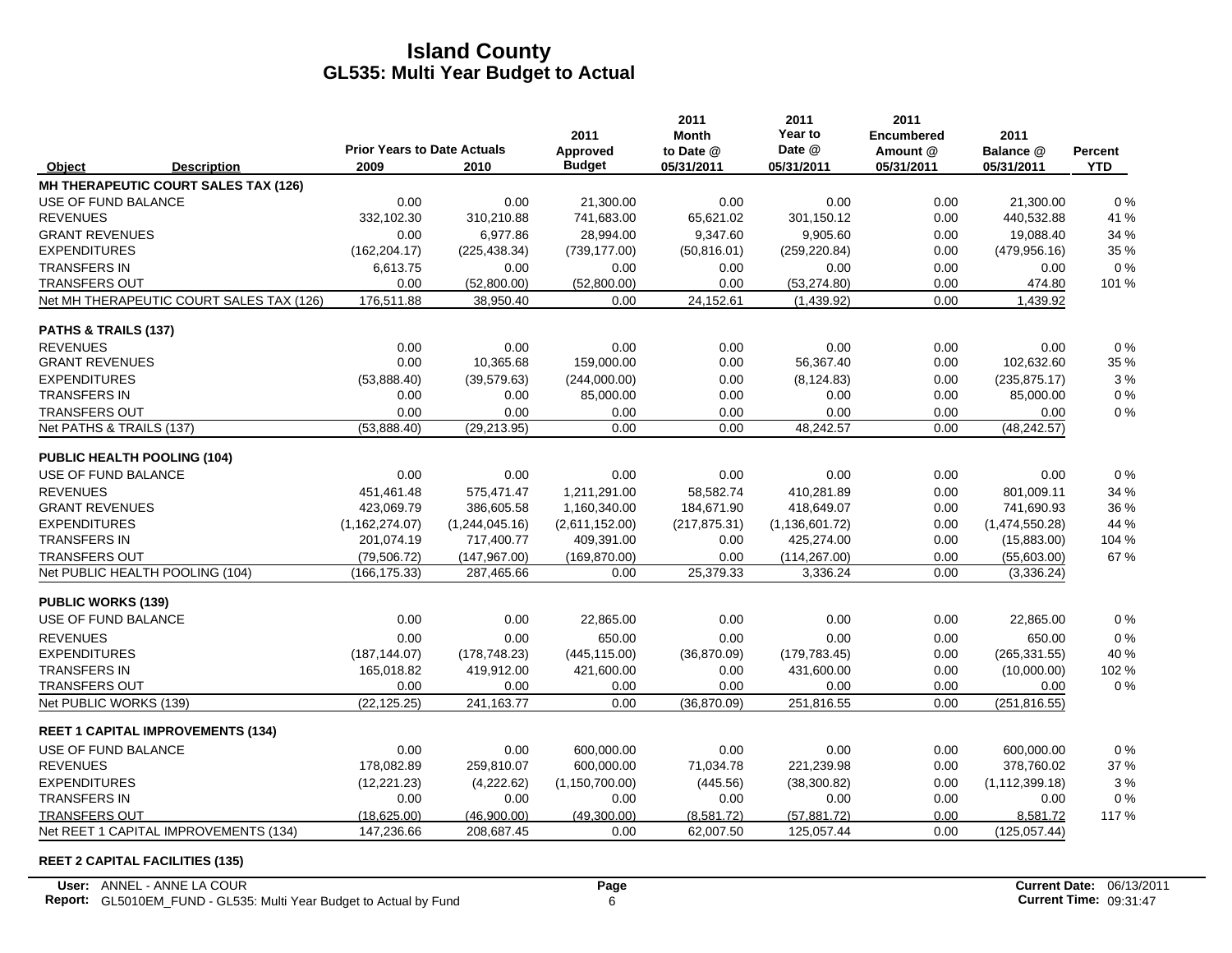|                           |                                          |                                            |                | 2011                      | 2011<br><b>Month</b>    | 2011<br>Year to      | 2011<br><b>Encumbered</b> | 2011                     |                       |
|---------------------------|------------------------------------------|--------------------------------------------|----------------|---------------------------|-------------------------|----------------------|---------------------------|--------------------------|-----------------------|
| Object                    | <b>Description</b>                       | <b>Prior Years to Date Actuals</b><br>2009 | 2010           | Approved<br><b>Budget</b> | to Date @<br>05/31/2011 | Date @<br>05/31/2011 | Amount @<br>05/31/2011    | Balance @<br>05/31/2011  | Percent<br><b>YTD</b> |
|                           | MH THERAPEUTIC COURT SALES TAX (126)     |                                            |                |                           |                         |                      |                           |                          |                       |
| USE OF FUND BALANCE       |                                          | 0.00                                       | 0.00           | 21,300.00                 | 0.00                    | 0.00                 | 0.00                      | 21,300.00                | $0\%$                 |
| <b>REVENUES</b>           |                                          | 332,102.30                                 | 310,210.88     | 741,683.00                | 65,621.02               | 301,150.12           | 0.00                      | 440,532.88               | 41 %                  |
| <b>GRANT REVENUES</b>     |                                          | 0.00                                       | 6,977.86       | 28.994.00                 | 9,347.60                | 9,905.60             | 0.00                      | 19,088.40                | 34 %                  |
| <b>EXPENDITURES</b>       |                                          | (162, 204.17)                              | (225, 438.34)  | (739, 177.00)             | (50, 816.01)            | (259, 220.84)        | 0.00                      | (479, 956.16)            | 35 %                  |
| <b>TRANSFERS IN</b>       |                                          | 6,613.75                                   | 0.00           | 0.00                      | 0.00                    | 0.00                 | 0.00                      | 0.00                     | $0\%$                 |
| <b>TRANSFERS OUT</b>      |                                          | 0.00                                       | (52,800.00)    | (52,800.00)               | 0.00                    | (53, 274.80)         | 0.00                      | 474.80                   | 101 %                 |
|                           | Net MH THERAPEUTIC COURT SALES TAX (126) | 176,511.88                                 | 38,950.40      | 0.00                      | 24,152.61               | (1,439.92)           | 0.00                      | 1,439.92                 |                       |
| PATHS & TRAILS (137)      |                                          |                                            |                |                           |                         |                      |                           |                          |                       |
| <b>REVENUES</b>           |                                          | 0.00                                       | 0.00           | 0.00                      | 0.00                    | 0.00                 | 0.00                      | 0.00                     | 0%                    |
| <b>GRANT REVENUES</b>     |                                          | 0.00                                       | 10,365.68      | 159,000.00                | 0.00                    | 56,367.40            | 0.00                      | 102,632.60               | 35 %                  |
| <b>EXPENDITURES</b>       |                                          | (53,888.40)                                | (39, 579.63)   | (244,000.00)              | 0.00                    | (8, 124.83)          | 0.00                      | (235, 875.17)            | 3%                    |
| <b>TRANSFERS IN</b>       |                                          | 0.00                                       | 0.00           | 85,000.00                 | 0.00                    | 0.00                 | 0.00                      | 85,000.00                | 0%                    |
| TRANSFERS OUT             |                                          | 0.00                                       | 0.00           | 0.00                      | 0.00                    | 0.00                 | 0.00                      | 0.00                     | 0%                    |
| Net PATHS & TRAILS (137)  |                                          | (53,888.40)                                | (29, 213.95)   | 0.00                      | 0.00                    | 48,242.57            | 0.00                      | $\overline{(48,242.57)}$ |                       |
|                           | PUBLIC HEALTH POOLING (104)              |                                            |                |                           |                         |                      |                           |                          |                       |
| USE OF FUND BALANCE       |                                          | 0.00                                       | 0.00           | 0.00                      | 0.00                    | 0.00                 | 0.00                      | 0.00                     | 0%                    |
| <b>REVENUES</b>           |                                          | 451.461.48                                 | 575,471.47     | 1,211,291.00              | 58.582.74               | 410.281.89           | 0.00                      | 801.009.11               | 34 %                  |
| <b>GRANT REVENUES</b>     |                                          | 423,069.79                                 | 386,605.58     | 1,160,340.00              | 184,671.90              | 418,649.07           | 0.00                      | 741,690.93               | 36 %                  |
| <b>EXPENDITURES</b>       |                                          | (1, 162, 274.07)                           | (1,244,045.16) | (2,611,152.00)            | (217, 875.31)           | (1, 136, 601.72)     | 0.00                      | (1,474,550.28)           | 44 %                  |
| <b>TRANSFERS IN</b>       |                                          | 201,074.19                                 | 717,400.77     | 409,391.00                | 0.00                    | 425,274.00           | 0.00                      | (15,883.00)              | 104 %                 |
| <b>TRANSFERS OUT</b>      |                                          | (79, 506.72)                               | (147, 967.00)  | (169, 870.00)             | 0.00                    | (114, 267.00)        | 0.00                      | (55,603.00)              | 67 %                  |
|                           | Net PUBLIC HEALTH POOLING (104)          | (166, 175.33)                              | 287,465.66     | 0.00                      | 25,379.33               | 3,336.24             | 0.00                      | (3,336.24)               |                       |
| <b>PUBLIC WORKS (139)</b> |                                          |                                            |                |                           |                         |                      |                           |                          |                       |
| USE OF FUND BALANCE       |                                          | 0.00                                       | 0.00           | 22,865.00                 | 0.00                    | 0.00                 | 0.00                      | 22,865.00                | $0\%$                 |
| <b>REVENUES</b>           |                                          | 0.00                                       | 0.00           | 650.00                    | 0.00                    | 0.00                 | 0.00                      | 650.00                   | 0%                    |
| <b>EXPENDITURES</b>       |                                          | (187, 144.07)                              | (178, 748.23)  | (445, 115.00)             | (36,870.09)             | (179, 783.45)        | 0.00                      | (265, 331.55)            | 40 %                  |
| <b>TRANSFERS IN</b>       |                                          | 165,018.82                                 | 419,912.00     | 421,600.00                | 0.00                    | 431,600.00           | 0.00                      | (10,000.00)              | 102%                  |
| <b>TRANSFERS OUT</b>      |                                          | 0.00                                       | 0.00           | 0.00                      | 0.00                    | 0.00                 | 0.00                      | 0.00                     | 0%                    |
| Net PUBLIC WORKS (139)    |                                          | (22, 125.25)                               | 241,163.77     | 0.00                      | (36,870.09)             | 251,816.55           | 0.00                      | (251, 816.55)            |                       |
|                           | <b>REET 1 CAPITAL IMPROVEMENTS (134)</b> |                                            |                |                           |                         |                      |                           |                          |                       |
| USE OF FUND BALANCE       |                                          | 0.00                                       | 0.00           | 600,000.00                | 0.00                    | 0.00                 | 0.00                      | 600,000.00               | 0%                    |
| <b>REVENUES</b>           |                                          | 178,082.89                                 | 259,810.07     | 600,000.00                | 71,034.78               | 221,239.98           | 0.00                      | 378,760.02               | 37%                   |
| <b>EXPENDITURES</b>       |                                          | (12, 221.23)                               | (4,222.62)     | (1, 150, 700.00)          | (445.56)                | (38, 300.82)         | 0.00                      | (1, 112, 399.18)         | 3%                    |
| <b>TRANSFERS IN</b>       |                                          | 0.00                                       | 0.00           | 0.00                      | 0.00                    | 0.00                 | 0.00                      | 0.00                     | 0%                    |
| TRANSFERS OUT             |                                          | (18,625.00)                                | (46,900.00)    | (49,300.00)               | (8,581.72)              | (57, 881.72)         | 0.00                      | 8,581.72                 | 117%                  |
|                           | Net REET 1 CAPITAL IMPROVEMENTS (134)    | 147,236.66                                 | 208,687.45     | 0.00                      | 62,007.50               | 125,057.44           | 0.00                      | (125, 057.44)            |                       |

#### **REET 2 CAPITAL FACILITIES (135)**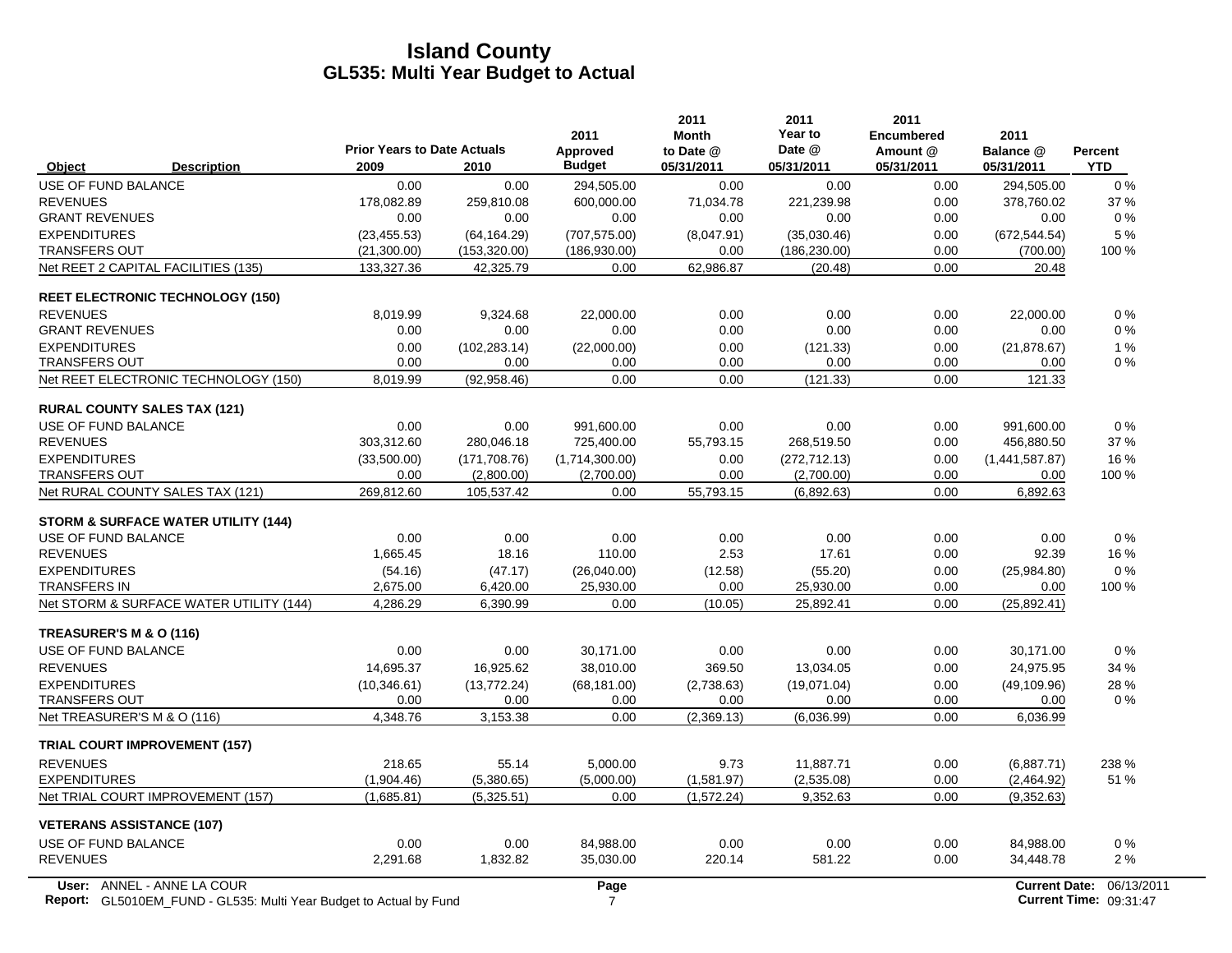|                                                | <b>Prior Years to Date Actuals</b> |                | 2011<br>Approved | 2011<br><b>Month</b><br>to Date @ | 2011<br>Year to<br>Date @ | 2011<br><b>Encumbered</b><br>Amount @ | 2011<br>Balance @    | <b>Percent</b> |
|------------------------------------------------|------------------------------------|----------------|------------------|-----------------------------------|---------------------------|---------------------------------------|----------------------|----------------|
| <b>Description</b><br>Object                   | 2009                               | 2010           | <b>Budget</b>    | 05/31/2011                        | 05/31/2011                | 05/31/2011                            | 05/31/2011           | <b>YTD</b>     |
| USE OF FUND BALANCE                            | 0.00                               | 0.00           | 294,505.00       | 0.00                              | 0.00                      | 0.00                                  | 294,505.00           | $0\%$          |
| <b>REVENUES</b>                                | 178,082.89                         | 259,810.08     | 600,000.00       | 71,034.78                         | 221,239.98                | 0.00                                  | 378,760.02           | 37 %           |
| <b>GRANT REVENUES</b>                          | $0.00\,$                           | 0.00           | 0.00             | 0.00                              | 0.00                      | 0.00                                  | 0.00                 | $0\%$          |
| <b>EXPENDITURES</b>                            | (23, 455.53)                       | (64, 164.29)   | (707, 575.00)    | (8,047.91)                        | (35,030.46)               | 0.00                                  | (672, 544.54)        | 5 %            |
| <b>TRANSFERS OUT</b>                           | (21,300.00)                        | (153, 320.00)  | (186, 930.00)    | 0.00                              | (186, 230.00)             | 0.00                                  | (700.00)             | 100 %          |
| Net REET 2 CAPITAL FACILITIES (135)            | 133,327.36                         | 42,325.79      | 0.00             | 62,986.87                         | (20.48)                   | 0.00                                  | 20.48                |                |
| <b>REET ELECTRONIC TECHNOLOGY (150)</b>        |                                    |                |                  |                                   |                           |                                       |                      |                |
| <b>REVENUES</b>                                | 8,019.99                           | 9,324.68       | 22,000.00        | 0.00                              | 0.00                      | 0.00                                  | 22,000.00            | $0\%$          |
| <b>GRANT REVENUES</b>                          | 0.00                               | 0.00           | 0.00             | 0.00                              | 0.00                      | 0.00                                  | 0.00                 | $0\%$          |
| <b>EXPENDITURES</b>                            | 0.00                               | (102, 283, 14) | (22,000.00)      | 0.00                              | (121.33)                  | 0.00                                  | (21, 878.67)         | 1%             |
| <b>TRANSFERS OUT</b>                           | 0.00                               | 0.00           | 0.00             | 0.00                              | 0.00                      | 0.00                                  | 0.00                 | 0%             |
| Net REET ELECTRONIC TECHNOLOGY (150)           | 8,019.99                           | (92, 958.46)   | 0.00             | 0.00                              | (121.33)                  | 0.00                                  | 121.33               |                |
| <b>RURAL COUNTY SALES TAX (121)</b>            |                                    |                |                  |                                   |                           |                                       |                      |                |
| <b>USE OF FUND BALANCE</b>                     | 0.00                               | 0.00           | 991.600.00       | 0.00                              | 0.00                      | 0.00                                  | 991.600.00           | $0\%$          |
| <b>REVENUES</b>                                | 303,312.60                         | 280,046.18     | 725,400.00       | 55,793.15                         | 268,519.50                | 0.00                                  | 456,880.50           | 37 %           |
| <b>EXPENDITURES</b>                            | (33,500.00)                        | (171, 708.76)  | (1,714,300.00)   | 0.00                              | (272, 712.13)             | 0.00                                  | (1,441,587.87)       | 16 %           |
| <b>TRANSFERS OUT</b>                           | 0.00                               | (2,800.00)     | (2,700.00)       | 0.00                              | (2,700.00)                | 0.00                                  | 0.00                 | 100 %          |
| Net RURAL COUNTY SALES TAX (121)               | 269.812.60                         | 105,537.42     | 0.00             | 55,793.15                         | (6,892.63)                | 0.00                                  | 6,892.63             |                |
| <b>STORM &amp; SURFACE WATER UTILITY (144)</b> |                                    |                |                  |                                   |                           |                                       |                      |                |
| USE OF FUND BALANCE                            | 0.00                               | 0.00           | 0.00             | 0.00                              | 0.00                      | 0.00                                  | 0.00                 | $0\%$          |
| <b>REVENUES</b>                                | 1.665.45                           | 18.16          | 110.00           | 2.53                              | 17.61                     | 0.00                                  | 92.39                | 16 %           |
| <b>EXPENDITURES</b>                            | (54.16)                            | (47.17)        | (26,040.00)      | (12.58)                           | (55.20)                   | 0.00                                  | (25,984.80)          | 0%             |
| <b>TRANSFERS IN</b>                            | 2,675.00                           | 6,420.00       | 25,930.00        | 0.00                              | 25,930.00                 | 0.00                                  | 0.00                 | 100 %          |
| Net STORM & SURFACE WATER UTILITY (144)        | 4,286.29                           | 6,390.99       | 0.00             | (10.05)                           | 25,892.41                 | 0.00                                  | (25,892.41)          |                |
| TREASURER'S M & O (116)                        |                                    |                |                  |                                   |                           |                                       |                      |                |
| <b>USE OF FUND BALANCE</b>                     | 0.00                               | 0.00           | 30,171.00        | 0.00                              | 0.00                      | 0.00                                  | 30,171.00            | 0%             |
| <b>REVENUES</b>                                | 14,695.37                          | 16,925.62      | 38,010.00        | 369.50                            | 13,034.05                 | 0.00                                  | 24,975.95            | 34 %           |
| <b>EXPENDITURES</b>                            | (10, 346.61)                       | (13, 772.24)   | (68, 181.00)     | (2,738.63)                        | (19,071.04)               | 0.00                                  | (49, 109.96)         | 28 %           |
| <b>TRANSFERS OUT</b>                           | 0.00                               | 0.00           | 0.00             | 0.00                              | 0.00                      | 0.00                                  | 0.00                 | 0%             |
| Net TREASURER'S M & O (116)                    | 4,348.76                           | 3,153.38       | 0.00             | (2,369.13)                        | (6,036.99)                | 0.00                                  | 6,036.99             |                |
| <b>TRIAL COURT IMPROVEMENT (157)</b>           |                                    |                |                  |                                   |                           |                                       |                      |                |
| <b>REVENUES</b>                                | 218.65                             | 55.14          | 5,000.00         | 9.73                              | 11,887.71                 | 0.00                                  | (6,887.71)           | 238 %          |
| <b>EXPENDITURES</b>                            | (1,904.46)                         | (5,380.65)     | (5,000.00)       | (1,581.97)                        | (2,535.08)                | 0.00                                  | (2,464.92)           | 51 %           |
| Net TRIAL COURT IMPROVEMENT (157)              | (1,685.81)                         | (5,325.51)     | 0.00             | (1,572.24)                        | 9,352.63                  | 0.00                                  | (9,352.63)           |                |
| <b>VETERANS ASSISTANCE (107)</b>               |                                    |                |                  |                                   |                           |                                       |                      |                |
| USE OF FUND BALANCE                            | 0.00                               | 0.00           | 84,988.00        | 0.00                              | 0.00                      | 0.00                                  | 84,988.00            | $0\%$          |
| <b>REVENUES</b>                                | 2,291.68                           | 1,832.82       | 35,030.00        | 220.14                            | 581.22                    | 0.00                                  | 34,448.78            | 2%             |
| User: ANNEL - ANNE LA COUR                     |                                    |                | Page             |                                   |                           |                                       | <b>Current Date:</b> | 06/13/2        |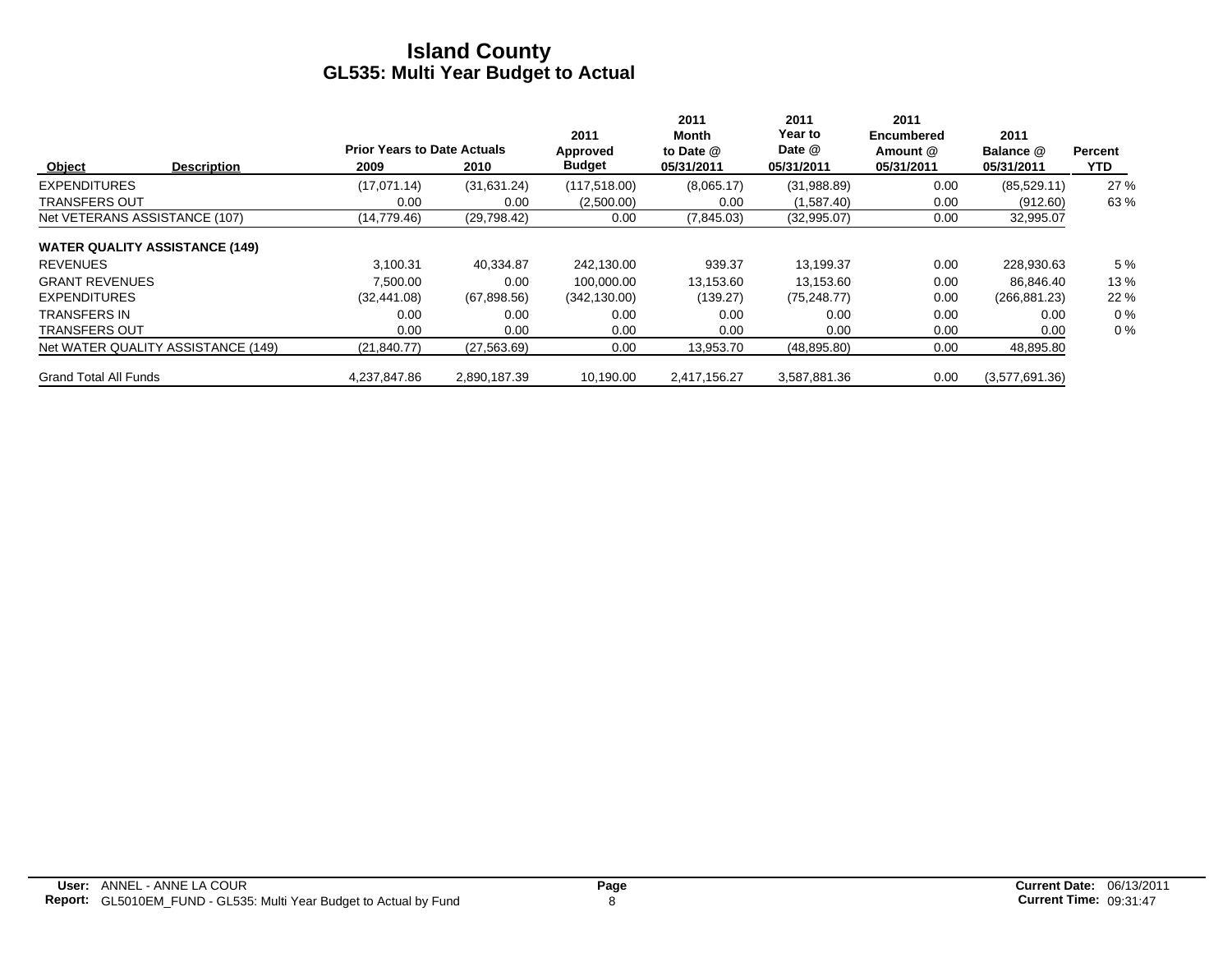|                                       | <b>Prior Years to Date Actuals</b> |              | 2011<br>Approved | 2011<br>Month<br>to Date @ | 2011<br>Year to<br>Date @ | 2011<br><b>Encumbered</b><br>Amount @ | 2011<br>Balance @ | Percent |
|---------------------------------------|------------------------------------|--------------|------------------|----------------------------|---------------------------|---------------------------------------|-------------------|---------|
| Object<br><b>Description</b>          | 2009                               | 2010         | <b>Budget</b>    | 05/31/2011                 | 05/31/2011                | 05/31/2011                            | 05/31/2011        | YTD.    |
| <b>EXPENDITURES</b>                   | (17,071.14)                        | (31,631.24)  | (117, 518.00)    | (8,065.17)                 | (31,988.89)               | 0.00                                  | (85, 529.11)      | 27 %    |
| <b>TRANSFERS OUT</b>                  | 0.00                               | 0.00         | (2,500.00)       | 0.00                       | (1,587.40)                | 0.00                                  | (912.60)          | 63 %    |
| Net VETERANS ASSISTANCE (107)         | (14,779.46)                        | (29,798.42)  | 0.00             | (7,845.03)                 | (32,995.07)               | 0.00                                  | 32,995.07         |         |
| <b>WATER QUALITY ASSISTANCE (149)</b> |                                    |              |                  |                            |                           |                                       |                   |         |
| <b>REVENUES</b>                       | 3.100.31                           | 40,334.87    | 242.130.00       | 939.37                     | 13,199.37                 | 0.00                                  | 228,930.63        | 5 %     |
| <b>GRANT REVENUES</b>                 | 7.500.00                           | 0.00         | 100.000.00       | 13,153.60                  | 13.153.60                 | 0.00                                  | 86,846.40         | 13%     |
| <b>EXPENDITURES</b>                   | (32, 441.08)                       | (67,898.56)  | (342, 130.00)    | (139.27)                   | (75, 248.77)              | 0.00                                  | (266, 881.23)     | 22 %    |
| <b>TRANSFERS IN</b>                   | 0.00                               | 0.00         | 0.00             | 0.00                       | 0.00                      | 0.00                                  | 0.00              | $0\%$   |
| <b>TRANSFERS OUT</b>                  | 0.00                               | 0.00         | 0.00             | 0.00                       | 0.00                      | 0.00                                  | 0.00              | $0\%$   |
| Net WATER QUALITY ASSISTANCE (149)    | (21, 840.77)                       | (27, 563.69) | 0.00             | 13,953.70                  | (48, 895.80)              | 0.00                                  | 48,895.80         |         |
| <b>Grand Total All Funds</b>          | 4.237.847.86                       | 2.890.187.39 | 10.190.00        | 2.417.156.27               | 3.587.881.36              | 0.00                                  | (3,577,691.36)    |         |